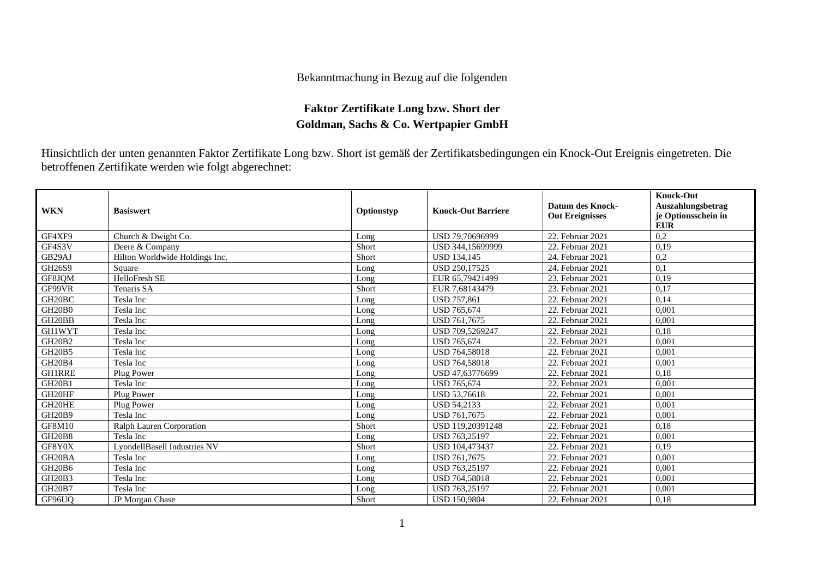## Bekanntmachung in Bezug auf die folgenden

## **Faktor Zertifikate Long bzw. Short der Goldman, Sachs & Co. Wertpapier GmbH**

Hinsichtlich der unten genannten Faktor Zertifikate Long bzw. Short ist gemäß der Zertifikatsbedingungen ein Knock-Out Ereignis eingetreten. Die betroffenen Zertifikate werden wie folgt abgerechnet:

| <b>WKN</b>                      | <b>Basiswert</b>               | Optionstyp | <b>Knock-Out Barriere</b> | <b>Datum des Knock-</b><br><b>Out Ereignisses</b> | <b>Knock-Out</b><br>Auszahlungsbetrag<br>je Optionsschein in<br><b>EUR</b> |
|---------------------------------|--------------------------------|------------|---------------------------|---------------------------------------------------|----------------------------------------------------------------------------|
| GF4XF9                          | Church & Dwight Co.            | Long       | USD 79.70696999           | 22. Februar 2021                                  | 0,2                                                                        |
| GF4S3V                          | Deere & Company                | Short      | USD 344,15699999          | 22. Februar 2021                                  | 0,19                                                                       |
| GB29AJ                          | Hilton Worldwide Holdings Inc. | Short      | <b>USD 134.145</b>        | 24. Februar 2021                                  | 0,2                                                                        |
| GH26S9                          | Square                         | Long       | <b>USD 250.17525</b>      | 24. Februar 2021                                  | 0.1                                                                        |
| GF8JOM                          | <b>HelloFresh SE</b>           | Long       | EUR 65,79421499           | 23. Februar 2021                                  | 0,19                                                                       |
| GF99VR                          | Tenaris SA                     | Short      | EUR 7,68143479            | 23. Februar 2021                                  | 0,17                                                                       |
| GH <sub>20</sub> BC             | Tesla Inc                      | Long       | <b>USD 757,861</b>        | 22. Februar 2021                                  | 0,14                                                                       |
| GH <sub>20</sub> B <sub>0</sub> | Tesla Inc                      | Long       | <b>USD 765.674</b>        | 22. Februar 2021                                  | 0,001                                                                      |
| GH <sub>20</sub> BB             | Tesla Inc                      | Long       | USD 761,7675              | 22. Februar 2021                                  | 0,001                                                                      |
| <b>GH1WYT</b>                   | Tesla Inc                      | Long       | USD 709.5269247           | 22. Februar 2021                                  | 0,18                                                                       |
| <b>GH20B2</b>                   | Tesla Inc                      | Long       | <b>USD 765,674</b>        | 22. Februar 2021                                  | 0,001                                                                      |
| <b>GH20B5</b>                   | Tesla Inc                      | Long       | <b>USD 764,58018</b>      | 22. Februar 2021                                  | 0,001                                                                      |
| <b>GH20B4</b>                   | Tesla Inc                      | Long       | <b>USD 764,58018</b>      | 22. Februar 2021                                  | 0,001                                                                      |
| <b>GH1RRE</b>                   | Plug Power                     | Long       | USD 47,63776699           | 22. Februar 2021                                  | 0,18                                                                       |
| <b>GH20B1</b>                   | Tesla Inc                      | Long       | <b>USD 765,674</b>        | 22. Februar 2021                                  | 0,001                                                                      |
| GH20HF                          | Plug Power                     | Long       | USD 53,76618              | 22. Februar 2021                                  | 0,001                                                                      |
| GH20HE                          | Plug Power                     | Long       | <b>USD 54.2133</b>        | 22. Februar 2021                                  | 0,001                                                                      |
| <b>GH20B9</b>                   | Tesla Inc                      | Long       | USD 761,7675              | 22. Februar 2021                                  | 0,001                                                                      |
| <b>GF8M10</b>                   | Ralph Lauren Corporation       | Short      | USD 119.20391248          | 22. Februar 2021                                  | 0,18                                                                       |
| <b>GH20B8</b>                   | Tesla Inc                      | Long       | USD 763,25197             | 22. Februar 2021                                  | 0,001                                                                      |
| GF8Y0X                          | LyondellBasell Industries NV   | Short      | USD 104,473437            | 22. Februar 2021                                  | 0,19                                                                       |
| GH <sub>20</sub> BA             | Tesla Inc                      | Long       | USD 761,7675              | 22. Februar 2021                                  | 0,001                                                                      |
| GH <sub>20</sub> B <sub>6</sub> | Tesla Inc                      | Long       | USD 763,25197             | 22. Februar 2021                                  | 0.001                                                                      |
| <b>GH20B3</b>                   | Tesla Inc                      | Long       | <b>USD 764,58018</b>      | 22. Februar 2021                                  | 0,001                                                                      |
| <b>GH20B7</b>                   | Tesla Inc                      | Long       | USD 763,25197             | 22. Februar 2021                                  | 0,001                                                                      |
| GF96UO                          | JP Morgan Chase                | Short      | <b>USD 150.9804</b>       | 22. Februar 2021                                  | 0,18                                                                       |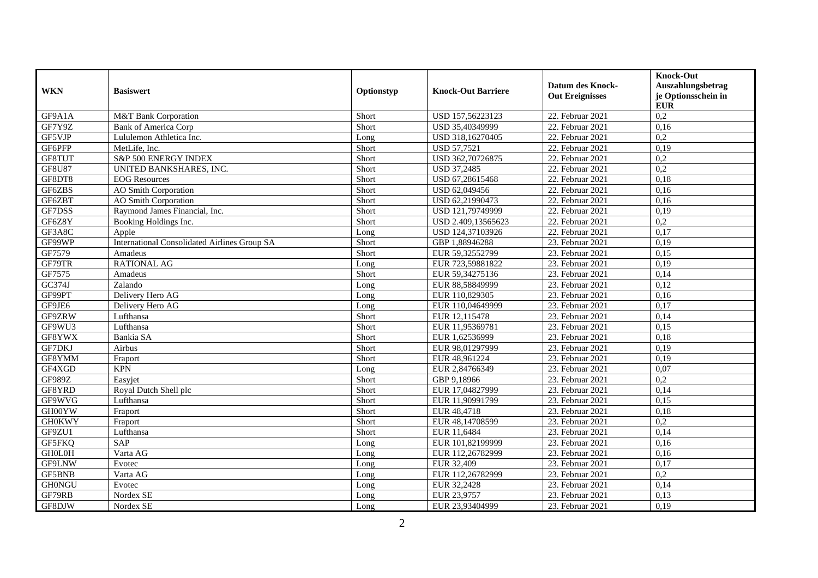|               |                                              |            |                           | <b>Datum des Knock-</b> | <b>Knock-Out</b><br>Auszahlungsbetrag |
|---------------|----------------------------------------------|------------|---------------------------|-------------------------|---------------------------------------|
| <b>WKN</b>    | <b>Basiswert</b>                             | Optionstyp | <b>Knock-Out Barriere</b> | <b>Out Ereignisses</b>  | je Optionsschein in<br><b>EUR</b>     |
| GF9A1A        | M&T Bank Corporation                         | Short      | USD 157,56223123          | 22. Februar 2021        | 0,2                                   |
| GF7Y9Z        | <b>Bank of America Corp</b>                  | Short      | USD 35,40349999           | 22. Februar 2021        | 0,16                                  |
| GF5VJP        | Lululemon Athletica Inc.                     | Long       | USD 318,16270405          | 22. Februar 2021        | 0,2                                   |
| GF6PFP        | MetLife. Inc.                                | Short      | <b>USD 57,7521</b>        | 22. Februar 2021        | 0,19                                  |
| GF8TUT        | S&P 500 ENERGY INDEX                         | Short      | USD 362,70726875          | 22. Februar 2021        | 0,2                                   |
| <b>GF8U87</b> | UNITED BANKSHARES, INC.                      | Short      | USD 37,2485               | 22. Februar 2021        | 0,2                                   |
| GF8DT8        | <b>EOG</b> Resources                         | Short      | USD 67,28615468           | 22. Februar 2021        | 0,18                                  |
| GF6ZBS        | <b>AO</b> Smith Corporation                  | Short      | USD 62,049456             | 22. Februar 2021        | 0,16                                  |
| GF6ZBT        | <b>AO</b> Smith Corporation                  | Short      | USD 62,21990473           | 22. Februar 2021        | 0,16                                  |
| GF7DSS        | Raymond James Financial, Inc.                | Short      | USD 121,79749999          | 22. Februar 2021        | 0,19                                  |
| GF6Z8Y        | Booking Holdings Inc.                        | Short      | USD 2.409,13565623        | 22. Februar 2021        | 0,2                                   |
| GF3A8C        | Apple                                        | Long       | USD 124,37103926          | 22. Februar 2021        | 0,17                                  |
| GF99WP        | International Consolidated Airlines Group SA | Short      | GBP 1,88946288            | 23. Februar 2021        | 0,19                                  |
| GF7579        | Amadeus                                      | Short      | EUR 59,32552799           | 23. Februar 2021        | 0.15                                  |
| GF79TR        | <b>RATIONAL AG</b>                           | Long       | EUR 723,59881822          | 23. Februar 2021        | 0,19                                  |
| GF7575        | Amadeus                                      | Short      | EUR 59,34275136           | 23. Februar 2021        | 0,14                                  |
| GC374J        | Zalando                                      | Long       | EUR 88,58849999           | 23. Februar 2021        | 0,12                                  |
| GF99PT        | Delivery Hero AG                             | Long       | EUR 110,829305            | 23. Februar 2021        | 0,16                                  |
| GF9JE6        | Delivery Hero AG                             | Long       | EUR 110,04649999          | 23. Februar 2021        | 0.17                                  |
| GF9ZRW        | Lufthansa                                    | Short      | EUR 12,115478             | 23. Februar 2021        | 0,14                                  |
| GF9WU3        | Lufthansa                                    | Short      | EUR 11,95369781           | 23. Februar 2021        | 0,15                                  |
| GF8YWX        | Bankia SA                                    | Short      | EUR 1.62536999            | 23. Februar 2021        | 0,18                                  |
| <b>GF7DKJ</b> | Airbus                                       | Short      | EUR 98,01297999           | 23. Februar 2021        | 0,19                                  |
| GF8YMM        | Fraport                                      | Short      | EUR 48,961224             | 23. Februar 2021        | 0,19                                  |
| GF4XGD        | <b>KPN</b>                                   | Long       | EUR 2,84766349            | 23. Februar 2021        | 0,07                                  |
| <b>GF989Z</b> | Easyjet                                      | Short      | GBP 9,18966               | 23. Februar 2021        | 0,2                                   |
| GF8YRD        | Royal Dutch Shell plc                        | Short      | EUR 17,04827999           | 23. Februar 2021        | 0,14                                  |
| GF9WVG        | Lufthansa                                    | Short      | EUR 11,90991799           | 23. Februar 2021        | 0,15                                  |
| GH00YW        | Fraport                                      | Short      | EUR 48,4718               | 23. Februar 2021        | 0,18                                  |
| <b>GH0KWY</b> | Fraport                                      | Short      | EUR 48,14708599           | 23. Februar 2021        | 0.2                                   |
| GF9ZU1        | Lufthansa                                    | Short      | EUR 11,6484               | 23. Februar 2021        | 0,14                                  |
| GF5FKQ        | <b>SAP</b>                                   | Long       | EUR 101,82199999          | 23. Februar 2021        | 0,16                                  |
| <b>GHOLOH</b> | Varta AG                                     | Long       | EUR 112,26782999          | 23. Februar 2021        | 0,16                                  |
| GF9LNW        | Evotec                                       | Long       | EUR 32,409                | 23. Februar 2021        | 0,17                                  |
| <b>GF5BNB</b> | Varta AG                                     | Long       | EUR 112,26782999          | 23. Februar 2021        | $\overline{0,2}$                      |
| <b>GH0NGU</b> | Evotec                                       | Long       | EUR 32,2428               | 23. Februar 2021        | 0,14                                  |
| GF79RB        | Nordex SE                                    | Long       | EUR 23,9757               | 23. Februar 2021        | 0,13                                  |
| GF8DJW        | Nordex SE                                    | Long       | EUR 23.93404999           | 23. Februar 2021        | 0,19                                  |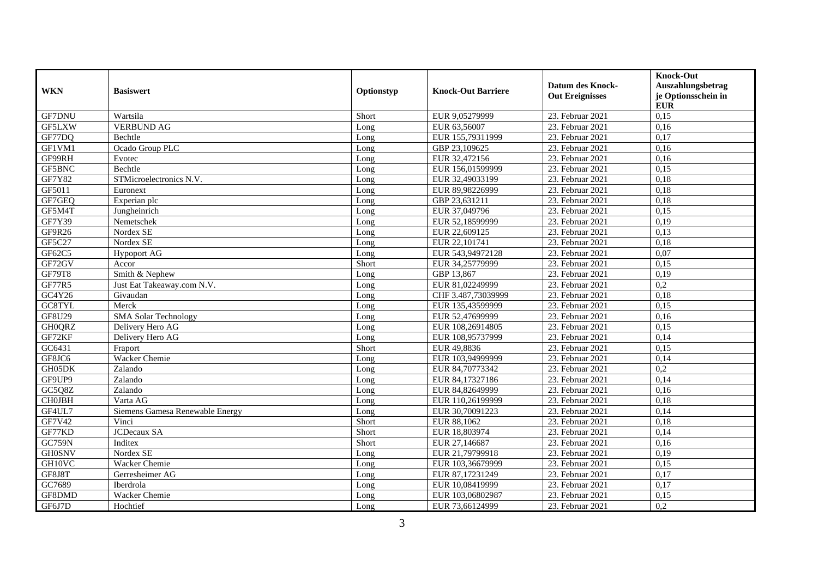| <b>WKN</b>    | <b>Basiswert</b>                | Optionstyp | <b>Knock-Out Barriere</b> | <b>Datum des Knock-</b><br><b>Out Ereignisses</b> | <b>Knock-Out</b><br>Auszahlungsbetrag<br>je Optionsschein in<br><b>EUR</b> |
|---------------|---------------------------------|------------|---------------------------|---------------------------------------------------|----------------------------------------------------------------------------|
| <b>GF7DNU</b> | Wartsila                        | Short      | EUR 9,05279999            | 23. Februar 2021                                  | 0,15                                                                       |
| GF5LXW        | <b>VERBUND AG</b>               | Long       | EUR 63,56007              | 23. Februar 2021                                  | 0,16                                                                       |
| GF77DQ        | Bechtle                         | Long       | EUR 155,79311999          | 23. Februar 2021                                  | 0,17                                                                       |
| GF1VM1        | Ocado Group PLC                 | Long       | GBP 23,109625             | 23. Februar 2021                                  | 0,16                                                                       |
| GF99RH        | Evotec                          | Long       | EUR 32,472156             | 23. Februar 2021                                  | 0,16                                                                       |
| GF5BNC        | Bechtle                         | Long       | EUR 156,01599999          | 23. Februar 2021                                  | 0,15                                                                       |
| <b>GF7Y82</b> | STMicroelectronics N.V.         | Long       | EUR 32,49033199           | 23. Februar 2021                                  | 0,18                                                                       |
| GF5011        | Euronext                        | Long       | EUR 89,98226999           | 23. Februar 2021                                  | 0,18                                                                       |
| GF7GEQ        | Experian plc                    | Long       | GBP 23,631211             | 23. Februar 2021                                  | 0,18                                                                       |
| GF5M4T        | Jungheinrich                    | Long       | EUR 37,049796             | 23. Februar 2021                                  | 0,15                                                                       |
| GF7Y39        | Nemetschek                      | Long       | EUR 52,18599999           | 23. Februar 2021                                  | 0,19                                                                       |
| GF9R26        | Nordex $\overline{\text{SE}}$   | Long       | EUR 22,609125             | 23. Februar 2021                                  | 0,13                                                                       |
| GF5C27        | Nordex SE                       | Long       | EUR 22,101741             | 23. Februar 2021                                  | 0,18                                                                       |
| GF62C5        | <b>Hypoport AG</b>              | Long       | EUR 543,94972128          | 23. Februar 2021                                  | 0,07                                                                       |
| GF72GV        | Accor                           | Short      | EUR 34,25779999           | 23. Februar 2021                                  | 0,15                                                                       |
| <b>GF79T8</b> | Smith & Nephew                  | Long       | GBP 13,867                | 23. Februar 2021                                  | 0,19                                                                       |
| <b>GF77R5</b> | Just Eat Takeaway.com N.V.      | Long       | EUR 81,02249999           | 23. Februar 2021                                  | $\overline{0,2}$                                                           |
| GC4Y26        | Givaudan                        | Long       | CHF 3.487,73039999        | 23. Februar 2021                                  | 0,18                                                                       |
| GC8TYL        | Merck                           | Long       | EUR 135,43599999          | 23. Februar 2021                                  | 0,15                                                                       |
| GF8U29        | <b>SMA Solar Technology</b>     | Long       | EUR 52,47699999           | 23. Februar 2021                                  | 0,16                                                                       |
| GH0QRZ        | Delivery Hero AG                | Long       | EUR 108,26914805          | 23. Februar 2021                                  | 0,15                                                                       |
| GF72KF        | Delivery Hero AG                | Long       | EUR 108,95737999          | 23. Februar 2021                                  | 0,14                                                                       |
| GC6431        | Fraport                         | Short      | EUR 49,8836               | 23. Februar 2021                                  | 0,15                                                                       |
| GF8JC6        | <b>Wacker Chemie</b>            | Long       | EUR 103,94999999          | 23. Februar 2021                                  | 0,14                                                                       |
| GH05DK        | Zalando                         | Long       | EUR 84,70773342           | 23. Februar 2021                                  | 0,2                                                                        |
| GF9UP9        | Zalando                         | Long       | EUR 84,17327186           | 23. Februar 2021                                  | 0,14                                                                       |
| GC5Q8Z        | Zalando                         | Long       | EUR 84,82649999           | 23. Februar 2021                                  | 0,16                                                                       |
| CHOJBH        | Varta AG                        | Long       | EUR 110,26199999          | 23. Februar 2021                                  | 0,18                                                                       |
| GF4UL7        | Siemens Gamesa Renewable Energy | Long       | EUR 30,70091223           | 23. Februar 2021                                  | 0,14                                                                       |
| GF7V42        | Vinci                           | Short      | EUR 88,1062               | 23. Februar 2021                                  | 0,18                                                                       |
| GF77KD        | JCDecaux SA                     | Short      | EUR 18,803974             | 23. Februar 2021                                  | 0,14                                                                       |
| <b>GC759N</b> | Inditex                         | Short      | EUR 27,146687             | 23. Februar 2021                                  | 0,16                                                                       |
| <b>GH0SNV</b> | Nordex SE                       | Long       | EUR 21,79799918           | 23. Februar 2021                                  | 0,19                                                                       |
| GH10VC        | Wacker Chemie                   | Long       | EUR 103,36679999          | 23. Februar 2021                                  | 0,15                                                                       |
| GF8J8T        | Gerresheimer AG                 | Long       | EUR 87,17231249           | 23. Februar 2021                                  | 0,17                                                                       |
| GC7689        | <b>Iberdrola</b>                | Long       | EUR 10,08419999           | 23. Februar 2021                                  | 0,17                                                                       |
| GF8DMD        | Wacker Chemie                   | Long       | EUR 103,06802987          | 23. Februar 2021                                  | 0,15                                                                       |
| GF6J7D        | Hochtief                        | Long       | EUR 73,66124999           | 23. Februar 2021                                  | $\overline{0,2}$                                                           |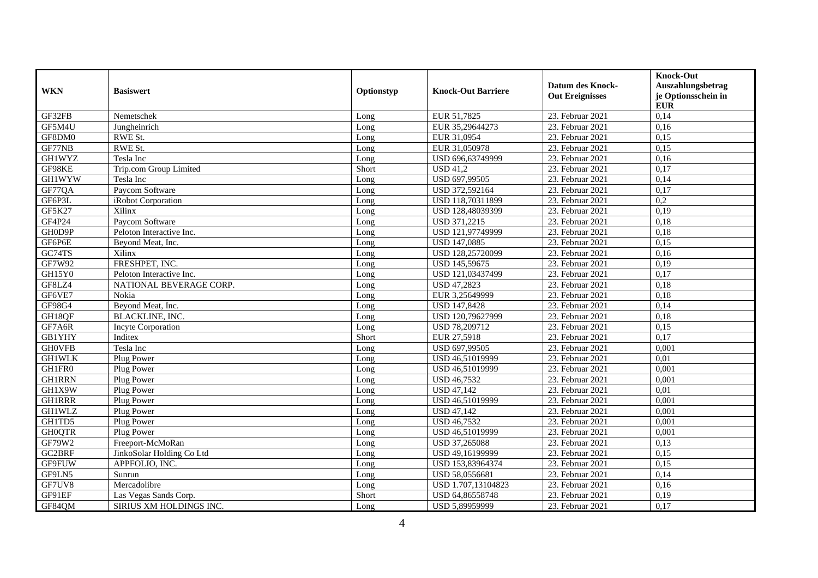|               | <b>Basiswert</b>          | Optionstyp |                           |                        | <b>Knock-Out</b>    |
|---------------|---------------------------|------------|---------------------------|------------------------|---------------------|
| <b>WKN</b>    |                           |            | <b>Knock-Out Barriere</b> | Datum des Knock-       | Auszahlungsbetrag   |
|               |                           |            |                           | <b>Out Ereignisses</b> | je Optionsschein in |
|               |                           |            |                           |                        | <b>EUR</b>          |
| GF32FB        | Nemetschek                | Long       | EUR 51,7825               | 23. Februar 2021       | 0,14                |
| GF5M4U        | Jungheinrich              | Long       | EUR 35,29644273           | 23. Februar 2021       | 0,16                |
| GF8DM0        | RWE St.                   | Long       | EUR 31,0954               | 23. Februar 2021       | 0,15                |
| GF77NB        | RWE St.                   | Long       | EUR 31,050978             | 23. Februar 2021       | 0,15                |
| <b>GH1WYZ</b> | Tesla Inc                 | Long       | USD 696,63749999          | 23. Februar 2021       | 0,16                |
| GF98KE        | Trip.com Group Limited    | Short      | <b>USD 41,2</b>           | 23. Februar 2021       | 0,17                |
| <b>GH1WYW</b> | Tesla Inc                 | Long       | USD 697,99505             | 23. Februar 2021       | 0,14                |
| GF77QA        | Paycom Software           | Long       | USD 372,592164            | 23. Februar 2021       | 0,17                |
| GF6P3L        | iRobot Corporation        | Long       | USD 118,70311899          | 23. Februar 2021       | $\overline{0,2}$    |
| GF5K27        | Xilinx                    | Long       | USD 128,48039399          | 23. Februar 2021       | 0,19                |
| GF4P24        | Paycom Software           | Long       | USD 371,2215              | 23. Februar 2021       | 0,18                |
| GH0D9P        | Peloton Interactive Inc.  | Long       | USD 121,97749999          | 23. Februar 2021       | 0,18                |
| GF6P6E        | Beyond Meat, Inc.         | Long       | USD 147,0885              | 23. Februar 2021       | 0,15                |
| GC74TS        | Xilinx                    | Long       | USD 128,25720099          | 23. Februar 2021       | 0,16                |
| GF7W92        | FRESHPET, INC.            | Long       | USD 145,59675             | 23. Februar 2021       | 0,19                |
| GH15Y0        | Peloton Interactive Inc.  | Long       | USD 121,03437499          | 23. Februar 2021       | 0,17                |
| GF8LZ4        | NATIONAL BEVERAGE CORP.   | Long       | <b>USD 47,2823</b>        | 23. Februar 2021       | 0,18                |
| GF6VE7        | Nokia                     | Long       | EUR 3,25649999            | 23. Februar 2021       | 0,18                |
| GF98G4        | Beyond Meat, Inc.         | Long       | USD 147,8428              | 23. Februar 2021       | 0,14                |
| GH18QF        | <b>BLACKLINE, INC.</b>    | Long       | USD 120,79627999          | 23. Februar 2021       | 0,18                |
| GF7A6R        | <b>Incyte Corporation</b> | Long       | USD 78,209712             | 23. Februar 2021       | 0,15                |
| <b>GB1YHY</b> | Inditex                   | Short      | EUR 27,5918               | 23. Februar 2021       | 0,17                |
| <b>GH0VFB</b> | Tesla Inc                 | Long       | USD 697,99505             | 23. Februar 2021       | 0,001               |
| <b>GH1WLK</b> | Plug Power                | Long       | USD 46,51019999           | 23. Februar 2021       | 0,01                |
| GH1FR0        | Plug Power                | Long       | USD 46,51019999           | 23. Februar 2021       | 0,001               |
| <b>GH1RRN</b> | Plug Power                | Long       | <b>USD 46,7532</b>        | 23. Februar 2021       | 0,001               |
| GH1X9W        | Plug Power                | Long       | <b>USD 47,142</b>         | 23. Februar 2021       | 0,01                |
| <b>GH1RRR</b> | Plug Power                | Long       | USD 46,51019999           | 23. Februar 2021       | 0,001               |
| <b>GH1WLZ</b> | Plug Power                | Long       | <b>USD 47,142</b>         | 23. Februar 2021       | 0,001               |
| GH1TD5        | Plug Power                | Long       | <b>USD 46,7532</b>        | 23. Februar 2021       | 0,001               |
| <b>GH0QTR</b> | Plug Power                | Long       | USD 46,51019999           | 23. Februar 2021       | 0,001               |
| GF79W2        | Freeport-McMoRan          | Long       | USD 37,265088             | 23. Februar 2021       | 0,13                |
| GC2BRF        | JinkoSolar Holding Co Ltd | Long       | USD 49,16199999           | 23. Februar 2021       | 0,15                |
| GF9FUW        | APPFOLIO, INC.            | Long       | USD 153,83964374          | 23. Februar 2021       | 0,15                |
| GF9LN5        | Sunrun                    | Long       | USD 58,0556681            | 23. Februar 2021       | 0,14                |
| GF7UV8        | Mercadolibre              | Long       | USD 1.707,13104823        | 23. Februar 2021       | 0,16                |
| GF91EF        | Las Vegas Sands Corp.     | Short      | USD 64,86558748           | 23. Februar 2021       | 0,19                |
| GF84OM        | SIRIUS XM HOLDINGS INC.   | Long       | USD 5.89959999            | 23. Februar 2021       | 0,17                |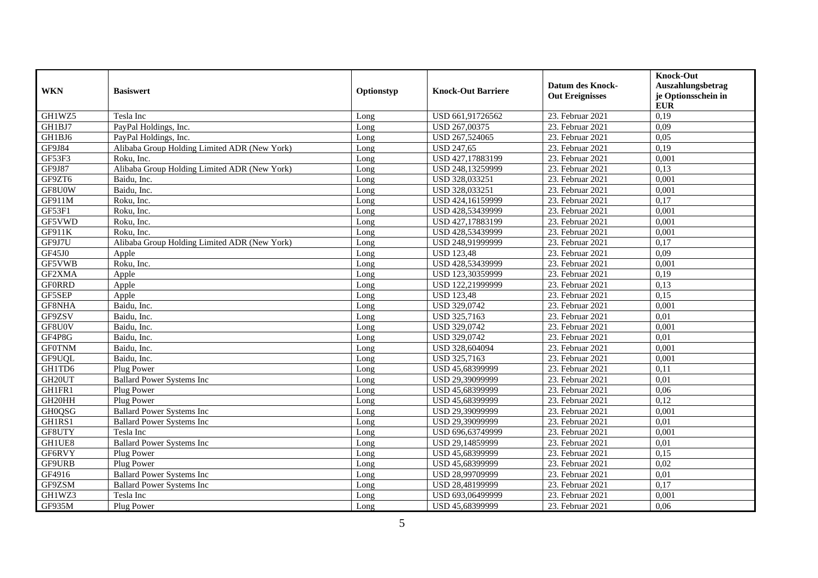|                    |                                              |            |                           | <b>Datum des Knock-</b> | <b>Knock-Out</b><br>Auszahlungsbetrag |
|--------------------|----------------------------------------------|------------|---------------------------|-------------------------|---------------------------------------|
| <b>WKN</b>         | <b>Basiswert</b>                             | Optionstyp | <b>Knock-Out Barriere</b> | <b>Out Ereignisses</b>  | je Optionsschein in<br><b>EUR</b>     |
| GH1WZ5             | Tesla Inc                                    | Long       | USD 661,91726562          | 23. Februar 2021        | 0,19                                  |
| GH1BJ7             | PayPal Holdings, Inc.                        | Long       | USD 267,00375             | 23. Februar 2021        | 0,09                                  |
| GH1BJ6             | PayPal Holdings, Inc.                        | Long       | USD 267,524065            | 23. Februar 2021        | 0,05                                  |
| GF9J84             | Alibaba Group Holding Limited ADR (New York) | Long       | <b>USD 247,65</b>         | 23. Februar 2021        | 0,19                                  |
| GF53F3             | Roku, Inc.                                   | Long       | USD 427,17883199          | 23. Februar 2021        | 0,001                                 |
| GF9J87             | Alibaba Group Holding Limited ADR (New York) | Long       | USD 248,13259999          | 23. Februar 2021        | 0,13                                  |
| GF9ZT6             | Baidu. Inc.                                  | Long       | USD 328,033251            | 23. Februar 2021        | 0,001                                 |
| GF8U0W             | Baidu, Inc.                                  | Long       | USD 328,033251            | 23. Februar 2021        | 0,001                                 |
| GF911M             | Roku, Inc.                                   | Long       | USD 424,16159999          | 23. Februar 2021        | 0,17                                  |
| GF53F1             | Roku, Inc.                                   | Long       | USD 428,53439999          | 23. Februar 2021        | 0,001                                 |
| GF5VWD             | Roku, Inc.                                   | Long       | USD 427,17883199          | 23. Februar 2021        | 0,001                                 |
| GF911K             | Roku, Inc.                                   | Long       | USD 428,53439999          | 23. Februar 2021        | 0,001                                 |
| GF9J7U             | Alibaba Group Holding Limited ADR (New York) | Long       | USD 248,91999999          | 23. Februar 2021        | 0,17                                  |
| GF45J0             | Apple                                        | Long       | <b>USD 123,48</b>         | 23. Februar 2021        | 0,09                                  |
| GF5VWB             | Roku, Inc.                                   | Long       | USD 428,53439999          | 23. Februar 2021        | 0,001                                 |
| GF2XMA             | Apple                                        | Long       | USD 123,30359999          | 23. Februar 2021        | 0,19                                  |
| <b>GFORRD</b>      | Apple                                        | Long       | USD 122,21999999          | 23. Februar 2021        | 0,13                                  |
| GF5SEP             | Apple                                        | Long       | <b>USD 123,48</b>         | 23. Februar 2021        | 0,15                                  |
| GF8NHA             | Baidu, Inc.                                  | Long       | USD 329,0742              | 23. Februar 2021        | 0,001                                 |
| GF9ZSV             | Baidu, Inc.                                  | Long       | USD 325,7163              | 23. Februar 2021        | 0,01                                  |
| GF8U0V             | Baidu, Inc.                                  | Long       | USD 329,0742              | 23. Februar 2021        | 0,001                                 |
| GF4P8G             | Baidu, Inc.                                  | Long       | USD 329,0742              | 23. Februar 2021        | 0.01                                  |
| <b>GF0TNM</b>      | Baidu, Inc.                                  | Long       | USD 328,604094            | 23. Februar 2021        | 0,001                                 |
| GF9UQL             | Baidu, Inc.                                  | Long       | USD 325,7163              | 23. Februar 2021        | 0,001                                 |
| GH1TD6             | Plug Power                                   | Long       | USD 45,68399999           | 23. Februar 2021        | 0,11                                  |
| GH20UT             | <b>Ballard Power Systems Inc</b>             | Long       | USD 29,39099999           | 23. Februar 2021        | 0.01                                  |
| GH1FR1             | Plug Power                                   | Long       | USD 45,68399999           | 23. Februar 2021        | 0,06                                  |
| GH20HH             | Plug Power                                   | Long       | USD 45,68399999           | 23. Februar 2021        | 0,12                                  |
| <b>GH0QSG</b>      | <b>Ballard Power Systems Inc</b>             | Long       | USD 29,39099999           | 23. Februar 2021        | 0,001                                 |
| GH1RS1             | <b>Ballard Power Systems Inc</b>             | Long       | USD 29,39099999           | 23. Februar 2021        | 0,01                                  |
| GF8UTY             | Tesla Inc                                    | Long       | USD 696,63749999          | 23. Februar 2021        | 0,001                                 |
| GH1UE <sub>8</sub> | <b>Ballard Power Systems Inc</b>             | Long       | USD 29,14859999           | 23. Februar 2021        | 0,01                                  |
| GF6RVY             | Plug Power                                   | Long       | USD 45,68399999           | 23. Februar 2021        | 0,15                                  |
| GF9URB             | Plug Power                                   | Long       | USD 45,68399999           | 23. Februar 2021        | 0,02                                  |
| GF4916             | <b>Ballard Power Systems Inc</b>             | Long       | USD 28,99709999           | 23. Februar 2021        | 0,01                                  |
| GF9ZSM             | <b>Ballard Power Systems Inc</b>             | Long       | USD 28,48199999           | 23. Februar 2021        | 0,17                                  |
| GH1WZ3             | Tesla Inc                                    | Long       | USD 693,06499999          | 23. Februar 2021        | 0,001                                 |
| GF935M             | Plug Power                                   | Long       | USD 45,68399999           | 23. Februar 2021        | 0,06                                  |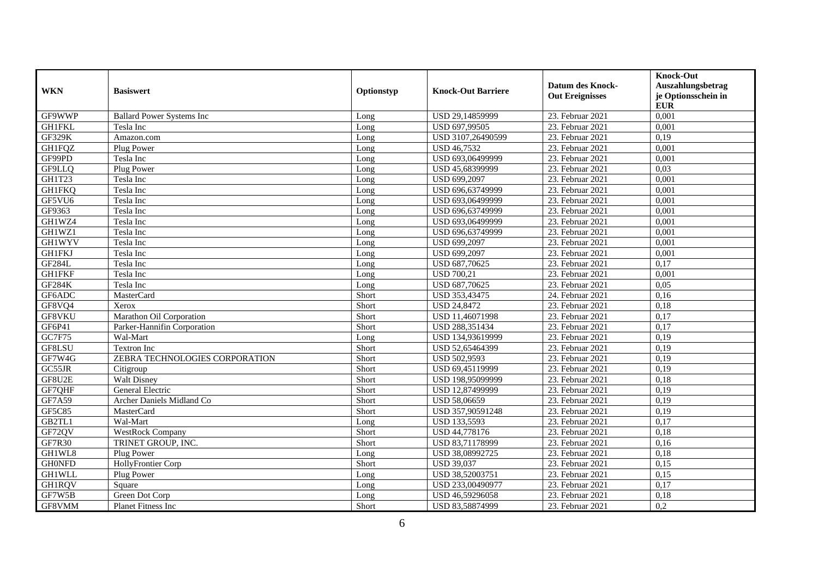|               |                                  |            |                           |                        | <b>Knock-Out</b>    |
|---------------|----------------------------------|------------|---------------------------|------------------------|---------------------|
| <b>WKN</b>    | <b>Basiswert</b>                 | Optionstyp | <b>Knock-Out Barriere</b> | Datum des Knock-       | Auszahlungsbetrag   |
|               |                                  |            |                           | <b>Out Ereignisses</b> | je Optionsschein in |
|               |                                  |            |                           |                        | <b>EUR</b>          |
| GF9WWP        | <b>Ballard Power Systems Inc</b> | Long       | USD 29,14859999           | 23. Februar 2021       | 0,001               |
| <b>GH1FKL</b> | Tesla Inc                        | Long       | USD 697,99505             | 23. Februar 2021       | 0,001               |
| <b>GF329K</b> | Amazon.com                       | Long       | USD 3107,26490599         | 23. Februar 2021       | 0,19                |
| <b>GH1FOZ</b> | Plug Power                       | Long       | <b>USD 46,7532</b>        | 23. Februar 2021       | 0.001               |
| GF99PD        | Tesla Inc                        | Long       | USD 693,06499999          | 23. Februar 2021       | 0,001               |
| GF9LLQ        | Plug Power                       | Long       | USD 45,68399999           | 23. Februar 2021       | 0,03                |
| GH1T23        | Tesla Inc                        | Long       | USD 699,2097              | 23. Februar 2021       | 0,001               |
| <b>GH1FKQ</b> | Tesla Inc                        | Long       | USD 696,63749999          | 23. Februar 2021       | 0,001               |
| GF5VU6        | Tesla Inc                        | Long       | USD 693,06499999          | 23. Februar 2021       | 0,001               |
| GF9363        | Tesla Inc                        | Long       | USD 696,63749999          | 23. Februar 2021       | 0,001               |
| GH1WZ4        | Tesla Inc                        | Long       | USD 693,06499999          | 23. Februar 2021       | 0,001               |
| GH1WZ1        | Tesla Inc                        | Long       | USD 696,63749999          | 23. Februar 2021       | 0,001               |
| <b>GH1WYV</b> | Tesla Inc                        | Long       | USD 699,2097              | 23. Februar 2021       | 0,001               |
| <b>GH1FKJ</b> | Tesla Inc                        | Long       | USD 699,2097              | 23. Februar 2021       | 0,001               |
| GF284L        | Tesla Inc                        | Long       | USD 687,70625             | 23. Februar 2021       | 0,17                |
| <b>GH1FKF</b> | Tesla Inc                        | Long       | <b>USD 700,21</b>         | 23. Februar 2021       | 0,001               |
| <b>GF284K</b> | Tesla Inc                        | Long       | USD 687,70625             | 23. Februar 2021       | 0,05                |
| GF6ADC        | MasterCard                       | Short      | USD 353,43475             | 24. Februar 2021       | 0,16                |
| GF8VQ4        | Xerox                            | Short      | <b>USD 24,8472</b>        | 23. Februar 2021       | 0,18                |
| GF8VKU        | Marathon Oil Corporation         | Short      | USD 11,46071998           | 23. Februar 2021       | 0,17                |
| GF6P41        | Parker-Hannifin Corporation      | Short      | USD 288,351434            | 23. Februar 2021       | 0,17                |
| GC7F75        | Wal-Mart                         | Long       | USD 134.93619999          | 23. Februar 2021       | 0.19                |
| GF8LSU        | <b>Textron Inc</b>               | Short      | USD 52,65464399           | 23. Februar 2021       | 0,19                |
| GF7W4G        | ZEBRA TECHNOLOGIES CORPORATION   | Short      | USD 502,9593              | 23. Februar 2021       | 0,19                |
| GC55JR        | Citigroup                        | Short      | USD 69,45119999           | 23. Februar 2021       | 0,19                |
| GF8U2E        | <b>Walt Disney</b>               | Short      | USD 198,95099999          | 23. Februar 2021       | 0,18                |
| GF7QHF        | General Electric                 | Short      | USD 12,87499999           | 23. Februar 2021       | 0,19                |
| GF7A59        | Archer Daniels Midland Co        | Short      | USD 58,06659              | 23. Februar 2021       | 0,19                |
| GF5C85        | MasterCard                       | Short      | USD 357,90591248          | 23. Februar 2021       | 0,19                |
| GB2TL1        | Wal-Mart                         | Long       | USD 133,5593              | 23. Februar 2021       | 0,17                |
| GF72QV        | <b>WestRock Company</b>          | Short      | USD 44,778176             | 23. Februar 2021       | 0,18                |
| GF7R30        | TRINET GROUP, INC.               | Short      | USD 83,71178999           | 23. Februar 2021       | 0,16                |
| GH1WL8        | Plug Power                       | Long       | USD 38,08992725           | 23. Februar 2021       | 0,18                |
| <b>GHONFD</b> | HollyFrontier Corp               | Short      | <b>USD 39,037</b>         | 23. Februar 2021       | 0,15                |
| <b>GH1WLL</b> | Plug Power                       | Long       | USD 38,52003751           | 23. Februar 2021       | 0,15                |
| <b>GH1RQV</b> | Square                           | Long       | USD 233,00490977          | 23. Februar 2021       | 0,17                |
| GF7W5B        | Green Dot Corp                   | Long       | USD 46,59296058           | 23. Februar 2021       | 0,18                |
| GF8VMM        | <b>Planet Fitness Inc</b>        | Short      | USD 83.58874999           | 23. Februar 2021       | $\overline{0,2}$    |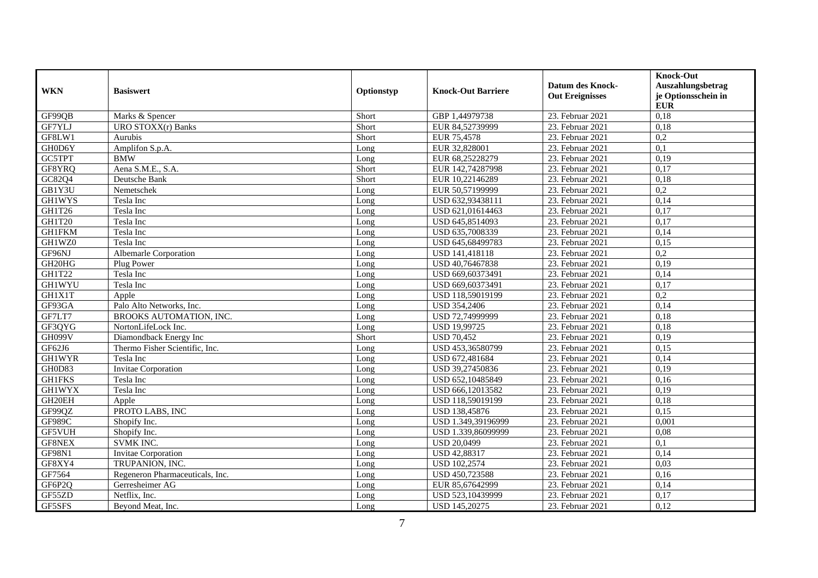| <b>WKN</b>    | <b>Basiswert</b>                | Optionstyp | <b>Knock-Out Barriere</b> | <b>Datum des Knock-</b> | <b>Knock-Out</b><br>Auszahlungsbetrag |
|---------------|---------------------------------|------------|---------------------------|-------------------------|---------------------------------------|
|               |                                 |            |                           | <b>Out Ereignisses</b>  | je Optionsschein in<br><b>EUR</b>     |
| GF99QB        | Marks & Spencer                 | Short      | GBP 1,44979738            | 23. Februar 2021        | 0,18                                  |
| GF7YLJ        | URO STOXX(r) Banks              | Short      | EUR 84,52739999           | 23. Februar 2021        | 0,18                                  |
| GF8LW1        | Aurubis                         | Short      | EUR 75,4578               | 23. Februar 2021        | $\overline{0.2}$                      |
| GH0D6Y        | Amplifon S.p.A.                 | Long       | EUR 32,828001             | 23. Februar 2021        | $\overline{0,1}$                      |
| GC5TPT        | <b>BMW</b>                      | Long       | EUR 68,25228279           | 23. Februar 2021        | 0,19                                  |
| GF8YRQ        | Aena S.M.E., S.A.               | Short      | EUR 142,74287998          | 23. Februar 2021        | 0,17                                  |
| GC82Q4        | Deutsche Bank                   | Short      | EUR 10,22146289           | 23. Februar 2021        | 0,18                                  |
| GB1Y3U        | Nemetschek                      | Long       | EUR 50,57199999           | 23. Februar 2021        | 0,2                                   |
| <b>GH1WYS</b> | Tesla Inc                       | Long       | USD 632,93438111          | 23. Februar 2021        | 0,14                                  |
| GH1T26        | Tesla Inc                       | Long       | USD 621,01614463          | 23. Februar 2021        | 0,17                                  |
| <b>GH1T20</b> | Tesla Inc                       | Long       | USD 645,8514093           | 23. Februar 2021        | 0,17                                  |
| <b>GH1FKM</b> | Tesla Inc                       | Long       | USD 635,7008339           | 23. Februar 2021        | 0,14                                  |
| GH1WZ0        | Tesla Inc                       | Long       | USD 645,68499783          | 23. Februar 2021        | 0,15                                  |
| GF96NJ        | <b>Albemarle Corporation</b>    | Long       | USD 141,418118            | 23. Februar 2021        | 0,2                                   |
| GH20HG        | Plug Power                      | Long       | USD 40,76467838           | 23. Februar 2021        | 0,19                                  |
| GH1T22        | Tesla Inc                       | Long       | USD 669,60373491          | 23. Februar 2021        | 0,14                                  |
| <b>GH1WYU</b> | Tesla Inc                       | Long       | USD 669,60373491          | 23. Februar 2021        | 0,17                                  |
| GH1X1T        | Apple                           | Long       | USD 118,59019199          | 23. Februar 2021        | 0,2                                   |
| GF93GA        | Palo Alto Networks, Inc.        | Long       | USD 354,2406              | 23. Februar 2021        | 0,14                                  |
| GF7LT7        | BROOKS AUTOMATION, INC.         | Long       | USD 72,74999999           | 23. Februar 2021        | 0,18                                  |
| GF3QYG        | NortonLifeLock Inc.             | Long       | USD 19,99725              | 23. Februar 2021        | 0,18                                  |
| <b>GH099V</b> | Diamondback Energy Inc          | Short      | <b>USD 70,452</b>         | 23. Februar 2021        | 0,19                                  |
| GF62J6        | Thermo Fisher Scientific, Inc.  | Long       | USD 453,36580799          | 23. Februar 2021        | 0,15                                  |
| <b>GH1WYR</b> | Tesla Inc                       | Long       | USD 672,481684            | 23. Februar 2021        | 0,14                                  |
| GH0D83        | <b>Invitae Corporation</b>      | Long       | USD 39,27450836           | 23. Februar 2021        | 0,19                                  |
| <b>GH1FKS</b> | Tesla Inc                       | Long       | USD 652,10485849          | 23. Februar 2021        | 0,16                                  |
| <b>GH1WYX</b> | Tesla Inc                       | Long       | USD 666,12013582          | 23. Februar 2021        | 0,19                                  |
| GH20EH        | Apple                           | Long       | USD 118,59019199          | 23. Februar 2021        | 0,18                                  |
| GF99QZ        | PROTO LABS, INC                 | Long       | USD 138,45876             | 23. Februar 2021        | 0,15                                  |
| GF989C        | Shopify Inc.                    | Long       | USD 1.349,39196999        | 23. Februar 2021        | 0,001                                 |
| GF5VUH        | Shopify Inc.                    | Long       | USD 1.339,86099999        | 23. Februar 2021        | 0,08                                  |
| GF8NEX        | <b>SVMK INC.</b>                | Long       | <b>USD 20,0499</b>        | 23. Februar 2021        | 0,1                                   |
| GF98N1        | Invitae Corporation             | Long       | USD 42,88317              | 23. Februar 2021        | 0,14                                  |
| GF8XY4        | TRUPANION, INC.                 | Long       | <b>USD 102,2574</b>       | 23. Februar 2021        | 0,03                                  |
| GF7564        | Regeneron Pharmaceuticals, Inc. | Long       | USD 450,723588            | 23. Februar 2021        | 0,16                                  |
| GF6P2Q        | Gerresheimer AG                 | Long       | EUR 85,67642999           | 23. Februar 2021        | 0,14                                  |
| GF55ZD        | Netflix, Inc.                   | Long       | USD 523,10439999          | 23. Februar 2021        | 0,17                                  |
| GF5SFS        | Beyond Meat, Inc.               | Long       | <b>USD 145.20275</b>      | 23. Februar 2021        | 0,12                                  |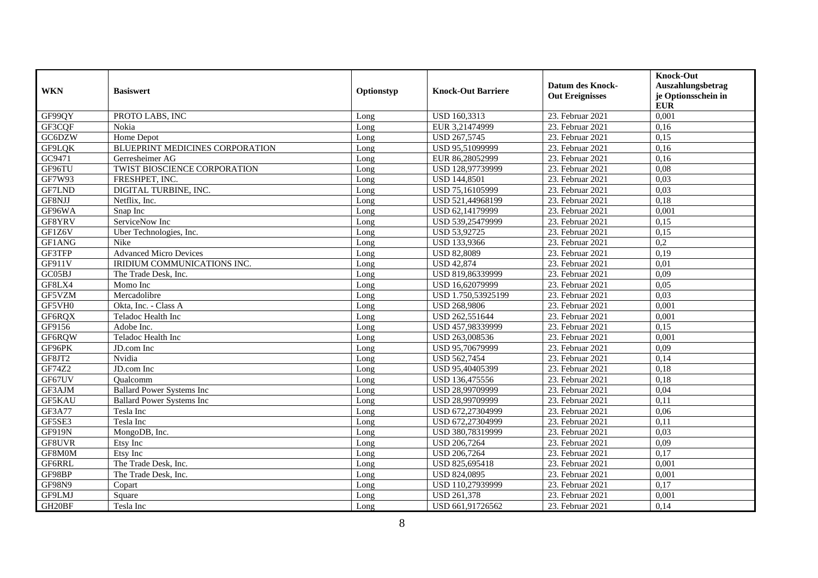|               |                                   |            |                           | <b>Datum des Knock-</b> | <b>Knock-Out</b><br>Auszahlungsbetrag |
|---------------|-----------------------------------|------------|---------------------------|-------------------------|---------------------------------------|
| <b>WKN</b>    | <b>Basiswert</b>                  | Optionstyp | <b>Knock-Out Barriere</b> | <b>Out Ereignisses</b>  | je Optionsschein in<br><b>EUR</b>     |
| GF99QY        | PROTO LABS, INC                   | Long       | USD 160,3313              | 23. Februar 2021        | 0,001                                 |
| GF3CQF        | Nokia                             | Long       | EUR 3,21474999            | 23. Februar 2021        | 0,16                                  |
| GC6DZW        | Home Depot                        | Long       | USD 267,5745              | 23. Februar 2021        | 0,15                                  |
| GF9LQK        | BLUEPRINT MEDICINES CORPORATION   | Long       | USD 95,51099999           | 23. Februar 2021        | 0,16                                  |
| GC9471        | Gerresheimer AG                   | Long       | EUR 86,28052999           | 23. Februar 2021        | 0,16                                  |
| GF96TU        | TWIST BIOSCIENCE CORPORATION      | Long       | USD 128,97739999          | 23. Februar 2021        | 0,08                                  |
| GF7W93        | FRESHPET, INC.                    | Long       | <b>USD 144,8501</b>       | 23. Februar 2021        | 0,03                                  |
| GF7LND        | DIGITAL TURBINE, INC.             | Long       | USD 75,16105999           | 23. Februar 2021        | 0,03                                  |
| GF8NJJ        | Netflix, Inc.                     | Long       | USD 521,44968199          | 23. Februar 2021        | 0,18                                  |
| GF96WA        | Snap Inc                          | Long       | USD 62,14179999           | 23. Februar 2021        | 0,001                                 |
| GF8YRV        | ServiceNow Inc                    | Long       | USD 539,25479999          | 23. Februar 2021        | 0,15                                  |
| GF1Z6V        | Uber Technologies, Inc.           | Long       | USD 53,92725              | 23. Februar 2021        | 0,15                                  |
| GF1ANG        | Nike                              | Long       | USD 133,9366              | 23. Februar 2021        | 0,2                                   |
| GF3TFP        | <b>Advanced Micro Devices</b>     | Long       | <b>USD 82,8089</b>        | 23. Februar 2021        | 0,19                                  |
| GF911V        | IRIDIUM COMMUNICATIONS INC.       | Long       | <b>USD 42,874</b>         | 23. Februar 2021        | 0,01                                  |
| GC05BJ        | The Trade Desk, Inc.              | Long       | USD 819,86339999          | 23. Februar 2021        | 0,09                                  |
| GF8LX4        | Momo Inc                          | Long       | USD 16,62079999           | 23. Februar 2021        | 0.05                                  |
| GF5VZM        | Mercadolibre                      | Long       | USD 1.750,53925199        | 23. Februar 2021        | 0,03                                  |
| GF5VH0        | Okta, Inc. - Class A              | Long       | <b>USD 268,9806</b>       | 23. Februar 2021        | 0,001                                 |
| GF6RQX        | Teladoc Health Inc                | Long       | USD 262,551644            | 23. Februar 2021        | 0,001                                 |
| GF9156        | Adobe Inc.                        | Long       | USD 457,98339999          | 23. Februar 2021        | 0,15                                  |
| GF6RQW        | Teladoc Health Inc                | Long       | USD 263,008536            | 23. Februar 2021        | 0,001                                 |
| GF96PK        | JD.com Inc                        | Long       | USD 95,70679999           | 23. Februar 2021        | 0,09                                  |
| GF8JT2        | Nvidia                            | Long       | USD 562,7454              | 23. Februar 2021        | 0,14                                  |
| GF74Z2        | JD.com Inc                        | Long       | USD 95,40405399           | 23. Februar 2021        | 0,18                                  |
| GF67UV        | Oualcomm                          | Long       | USD 136,475556            | 23. Februar 2021        | 0,18                                  |
| GF3AJM        | <b>Ballard Power Systems Inc</b>  | Long       | USD 28,99709999           | 23. Februar 2021        | 0,04                                  |
| GF5KAU        | <b>Ballard Power Systems Inc.</b> | Long       | USD 28,99709999           | 23. Februar 2021        | 0,11                                  |
| GF3A77        | Tesla Inc                         | Long       | USD 672,27304999          | 23. Februar 2021        | 0,06                                  |
| GF5SE3        | Tesla Inc                         | Long       | USD 672,27304999          | 23. Februar 2021        | 0,11                                  |
| GF919N        | MongoDB, Inc.                     | Long       | USD 380,78319999          | 23. Februar 2021        | 0,03                                  |
| GF8UVR        | Etsy Inc                          | Long       | USD 206,7264              | 23. Februar 2021        | 0,09                                  |
| GF8M0M        | Etsy Inc                          | Long       | USD 206,7264              | 23. Februar 2021        | 0,17                                  |
| GF6RRL        | The Trade Desk, Inc.              | Long       | USD 825,695418            | 23. Februar 2021        | 0,001                                 |
| GF98BP        | The Trade Desk, Inc.              | Long       | <b>USD 824,0895</b>       | 23. Februar 2021        | 0,001                                 |
| <b>GF98N9</b> | Copart                            | Long       | USD 110,27939999          | 23. Februar 2021        | 0,17                                  |
| GF9LMJ        | Square                            | Long       | <b>USD 261,378</b>        | 23. Februar 2021        | 0,001                                 |
| GH20BF        | Tesla Inc                         | Long       | USD 661.91726562          | 23. Februar 2021        | 0,14                                  |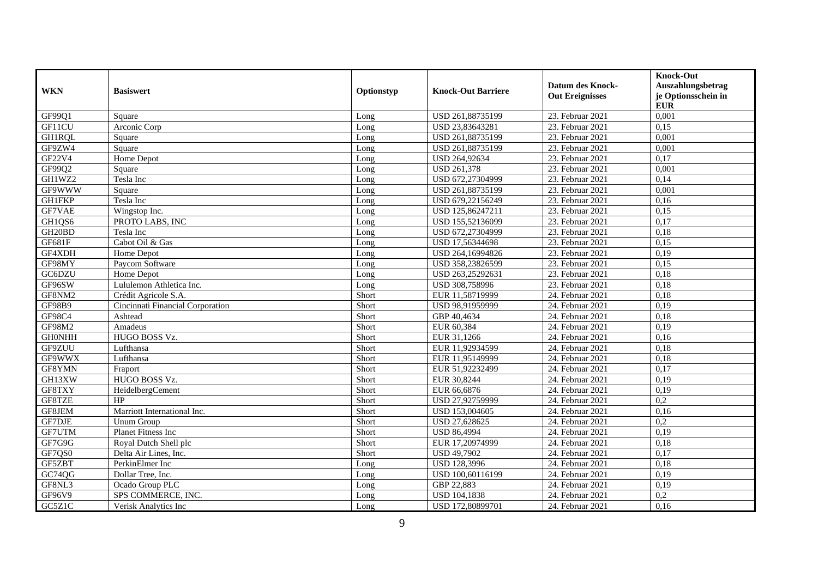|                     |                                  |            |                           | <b>Datum des Knock-</b> | <b>Knock-Out</b><br>Auszahlungsbetrag |
|---------------------|----------------------------------|------------|---------------------------|-------------------------|---------------------------------------|
| <b>WKN</b>          | <b>Basiswert</b>                 | Optionstyp | <b>Knock-Out Barriere</b> | <b>Out Ereignisses</b>  | je Optionsschein in<br><b>EUR</b>     |
| GF99Q1              | Square                           | Long       | USD 261,88735199          | 23. Februar 2021        | 0,001                                 |
| GF11CU              | Arconic Corp                     | Long       | USD 23,83643281           | 23. Februar 2021        | 0,15                                  |
| GH1RQL              | Square                           | Long       | USD 261,88735199          | 23. Februar 2021        | 0,001                                 |
| GF9ZW4              | Square                           | Long       | USD 261,88735199          | 23. Februar 2021        | 0,001                                 |
| GF22V4              | Home Depot                       | Long       | USD 264,92634             | 23. Februar 2021        | 0,17                                  |
| GF99Q2              | Square                           | Long       | USD 261,378               | 23. Februar 2021        | 0,001                                 |
| GH1WZ2              | Tesla Inc                        | Long       | USD 672,27304999          | 23. Februar 2021        | 0,14                                  |
| GF9WWW              | Square                           | Long       | USD 261,88735199          | 23. Februar 2021        | 0,001                                 |
| <b>GH1FKP</b>       | Tesla Inc                        | Long       | USD 679,22156249          | 23. Februar 2021        | 0,16                                  |
| GF7VAE              | Wingstop Inc.                    | Long       | USD 125,86247211          | 23. Februar 2021        | 0,15                                  |
| GH1QS6              | PROTO LABS, INC                  | Long       | USD 155,52136099          | 23. Februar 2021        | 0,17                                  |
| GH <sub>20</sub> BD | Tesla Inc                        | Long       | USD 672,27304999          | 23. Februar 2021        | 0,18                                  |
| GF681F              | Cabot Oil & Gas                  | Long       | USD 17,56344698           | 23. Februar 2021        | 0,15                                  |
| GF4XDH              | Home Depot                       | Long       | USD 264,16994826          | 23. Februar 2021        | 0,19                                  |
| GF98MY              | Paycom Software                  | Long       | USD 358,23826599          | 23. Februar 2021        | 0,15                                  |
| GC6DZU              | Home Depot                       | Long       | USD 263,25292631          | 23. Februar 2021        | 0,18                                  |
| GF96SW              | Lululemon Athletica Inc.         | Long       | USD 308,758996            | 23. Februar 2021        | 0,18                                  |
| GF8NM2              | Crédit Agricole S.A.             | Short      | EUR 11,58719999           | 24. Februar 2021        | 0,18                                  |
| <b>GF98B9</b>       | Cincinnati Financial Corporation | Short      | USD 98,91959999           | 24. Februar 2021        | 0,19                                  |
| GF98C4              | Ashtead                          | Short      | GBP 40,4634               | 24. Februar 2021        | 0,18                                  |
| GF98M2              | Amadeus                          | Short      | EUR 60,384                | 24. Februar 2021        | 0,19                                  |
| <b>GHONHH</b>       | HUGO BOSS Vz.                    | Short      | EUR 31,1266               | 24. Februar 2021        | 0,16                                  |
| GF9ZUU              | Lufthansa                        | Short      | EUR 11,92934599           | 24. Februar 2021        | 0,18                                  |
| GF9WWX              | Lufthansa                        | Short      | EUR 11,95149999           | 24. Februar 2021        | 0,18                                  |
| GF8YMN              | Fraport                          | Short      | EUR 51,92232499           | 24. Februar 2021        | 0,17                                  |
| GH13XW              | HUGO BOSS Vz.                    | Short      | EUR 30,8244               | 24. Februar 2021        | 0,19                                  |
| GF8TXY              | HeidelbergCement                 | Short      | EUR 66,6876               | 24. Februar 2021        | 0,19                                  |
| GF8TZE              | HP                               | Short      | USD 27,92759999           | 24. Februar 2021        | 0,2                                   |
| GF8JEM              | Marriott International Inc.      | Short      | USD 153,004605            | 24. Februar 2021        | 0,16                                  |
| GF7DJE              | <b>Unum Group</b>                | Short      | USD 27,628625             | 24. Februar 2021        | $\overline{0.2}$                      |
| GF7UTM              | Planet Fitness Inc               | Short      | <b>USD 86,4994</b>        | 24. Februar 2021        | 0,19                                  |
| GF7G9G              | Royal Dutch Shell plc            | Short      | EUR 17,20974999           | 24. Februar 2021        | 0,18                                  |
| GF7QS0              | Delta Air Lines, Inc.            | Short      | <b>USD 49,7902</b>        | 24. Februar 2021        | 0,17                                  |
| GF5ZBT              | PerkinElmer Inc                  | Long       | <b>USD 128,3996</b>       | 24. Februar 2021        | 0,18                                  |
| GC74QG              | Dollar Tree, Inc.                | Long       | USD 100,60116199          | 24. Februar 2021        | 0,19                                  |
| GF8NL3              | Ocado Group PLC                  | Long       | GBP 22,883                | 24. Februar 2021        | 0,19                                  |
| GF96V9              | SPS COMMERCE, INC.               | Long       | USD 104,1838              | 24. Februar 2021        | 0,2                                   |
| GC5Z1C              | Verisk Analytics Inc             | Long       | USD 172,80899701          | 24. Februar 2021        | 0,16                                  |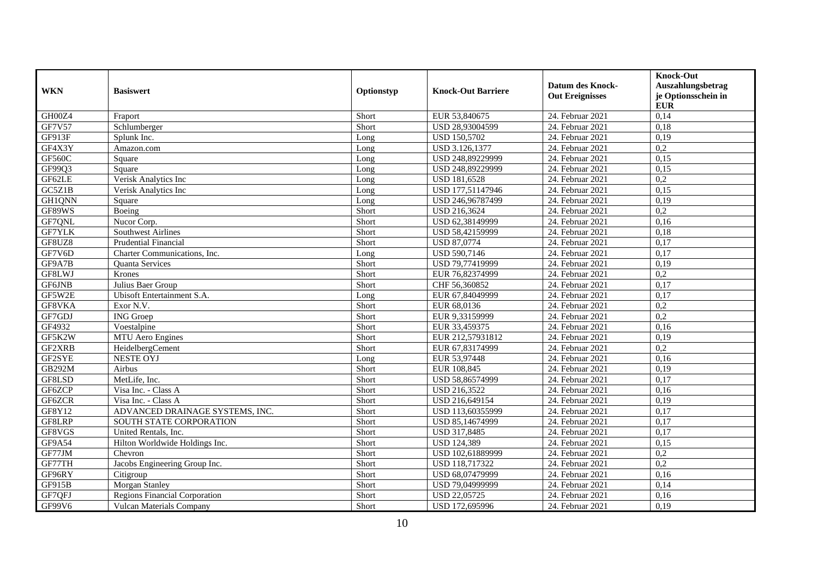| <b>WKN</b>    |                                      | Optionstyp | <b>Knock-Out Barriere</b> | <b>Datum des Knock-</b> | <b>Knock-Out</b><br>Auszahlungsbetrag |
|---------------|--------------------------------------|------------|---------------------------|-------------------------|---------------------------------------|
|               | <b>Basiswert</b>                     |            |                           | <b>Out Ereignisses</b>  | je Optionsschein in<br><b>EUR</b>     |
| GH00Z4        | Fraport                              | Short      | EUR 53,840675             | 24. Februar 2021        | 0,14                                  |
| GF7V57        | Schlumberger                         | Short      | USD 28,93004599           | 24. Februar 2021        | 0,18                                  |
| GF913F        | Splunk Inc.                          | Long       | <b>USD 150,5702</b>       | 24. Februar 2021        | 0,19                                  |
| GF4X3Y        | Amazon.com                           | Long       | USD 3.126,1377            | 24. Februar 2021        | $\overline{0,2}$                      |
| <b>GF560C</b> | Square                               | Long       | USD 248,89229999          | 24. Februar 2021        | 0,15                                  |
| GF99Q3        | Square                               | Long       | USD 248,89229999          | 24. Februar 2021        | 0,15                                  |
| GF62LE        | Verisk Analytics Inc                 | Long       | USD 181,6528              | 24. Februar 2021        | 0,2                                   |
| GC5Z1B        | Verisk Analytics Inc                 | Long       | USD 177,51147946          | 24. Februar 2021        | 0,15                                  |
| GH1QNN        | Square                               | Long       | USD 246,96787499          | 24. Februar 2021        | 0,19                                  |
| GF89WS        | Boeing                               | Short      | USD 216,3624              | 24. Februar 2021        | 0,2                                   |
| GF7QNL        | Nucor Corp.                          | Short      | USD 62,38149999           | 24. Februar 2021        | 0,16                                  |
| GF7YLK        | Southwest Airlines                   | Short      | USD 58,42159999           | 24. Februar 2021        | 0,18                                  |
| GF8UZ8        | <b>Prudential Financial</b>          | Short      | <b>USD 87,0774</b>        | 24. Februar 2021        | 0,17                                  |
| GF7V6D        | Charter Communications, Inc.         | Long       | USD 590,7146              | 24. Februar 2021        | 0,17                                  |
| GF9A7B        | <b>Ouanta Services</b>               | Short      | USD 79,77419999           | 24. Februar 2021        | 0,19                                  |
| GF8LWJ        | Krones                               | Short      | EUR 76,82374999           | 24. Februar 2021        | $\overline{0,2}$                      |
| GF6JNB        | Julius Baer Group                    | Short      | CHF 56,360852             | 24. Februar 2021        | 0,17                                  |
| GF5W2E        | Ubisoft Entertainment S.A.           | Long       | EUR 67,84049999           | 24. Februar 2021        | 0,17                                  |
| GF8VKA        | Exor N.V.                            | Short      | EUR 68,0136               | 24. Februar 2021        | 0,2                                   |
| GF7GDJ        | <b>ING</b> Groep                     | Short      | EUR 9,33159999            | 24. Februar 2021        | $\overline{0,2}$                      |
| GF4932        | Voestalpine                          | Short      | EUR 33,459375             | 24. Februar 2021        | 0,16                                  |
| GF5K2W        | MTU Aero Engines                     | Short      | EUR 212,57931812          | 24. Februar 2021        | 0,19                                  |
| GF2XRB        | HeidelbergCement                     | Short      | EUR 67,83174999           | 24. Februar 2021        | 0,2                                   |
| GF2SYE        | <b>NESTE OYJ</b>                     | Long       | EUR 53,97448              | 24. Februar 2021        | 0,16                                  |
| GB292M        | Airbus                               | Short      | EUR 108,845               | 24. Februar 2021        | 0,19                                  |
| GF8LSD        | MetLife, Inc.                        | Short      | USD 58,86574999           | 24. Februar 2021        | 0,17                                  |
| GF6ZCP        | Visa Inc. - Class A                  | Short      | USD 216,3522              | 24. Februar 2021        | 0,16                                  |
| GF6ZCR        | Visa Inc. - Class A                  | Short      | USD 216,649154            | 24. Februar 2021        | 0,19                                  |
| GF8Y12        | ADVANCED DRAINAGE SYSTEMS, INC.      | Short      | USD 113,60355999          | 24. Februar 2021        | 0,17                                  |
| GF8LRP        | SOUTH STATE CORPORATION              | Short      | USD 85,14674999           | 24. Februar 2021        | 0,17                                  |
| GF8VGS        | United Rentals, Inc.                 | Short      | USD 317,8485              | 24. Februar 2021        | 0,17                                  |
| GF9A54        | Hilton Worldwide Holdings Inc.       | Short      | <b>USD 124,389</b>        | 24. Februar 2021        | 0,15                                  |
| GF77JM        | Chevron                              | Short      | USD 102,61889999          | 24. Februar 2021        | 0,2                                   |
| GF77TH        | Jacobs Engineering Group Inc.        | Short      | USD 118,717322            | 24. Februar 2021        | 0,2                                   |
| GF96RY        | Citigroup                            | Short      | USD 68,07479999           | 24. Februar 2021        | 0,16                                  |
| GF915B        | Morgan Stanley                       | Short      | USD 79,04999999           | 24. Februar 2021        | 0,14                                  |
| GF7QFJ        | <b>Regions Financial Corporation</b> | Short      | <b>USD 22,05725</b>       | 24. Februar 2021        | 0,16                                  |
| GF99V6        | <b>Vulcan Materials Company</b>      | Short      | USD 172,695996            | 24. Februar 2021        | 0,19                                  |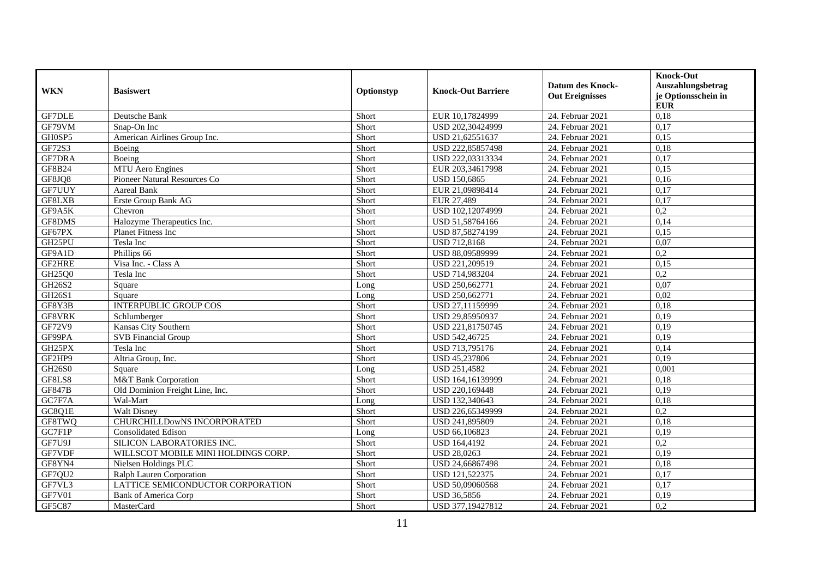| <b>WKN</b>    | <b>Basiswert</b>                    | Optionstyp | <b>Knock-Out Barriere</b> | <b>Datum des Knock-</b> | <b>Knock-Out</b><br>Auszahlungsbetrag |
|---------------|-------------------------------------|------------|---------------------------|-------------------------|---------------------------------------|
|               |                                     |            |                           | <b>Out Ereignisses</b>  | je Optionsschein in<br><b>EUR</b>     |
| <b>GF7DLE</b> | Deutsche Bank                       | Short      | EUR 10,17824999           | 24. Februar 2021        | 0,18                                  |
| GF79VM        | Snap-On Inc                         | Short      | USD 202,30424999          | 24. Februar 2021        | 0,17                                  |
| GH0SP5        | American Airlines Group Inc.        | Short      | USD 21,62551637           | 24. Februar 2021        | 0,15                                  |
| GF72S3        | Boeing                              | Short      | USD 222,85857498          | 24. Februar 2021        | 0,18                                  |
| <b>GF7DRA</b> | Boeing                              | Short      | USD 222,03313334          | 24. Februar 2021        | 0,17                                  |
| GF8B24        | MTU Aero Engines                    | Short      | EUR 203,34617998          | 24. Februar 2021        | 0,15                                  |
| GF8JQ8        | Pioneer Natural Resources Co        | Short      | USD 150,6865              | 24. Februar 2021        | 0,16                                  |
| GF7UUY        | Aareal Bank                         | Short      | EUR 21,09898414           | 24. Februar 2021        | 0,17                                  |
| GF8LXB        | Erste Group Bank AG                 | Short      | EUR 27,489                | 24. Februar 2021        | 0,17                                  |
| GF9A5K        | Chevron                             | Short      | USD 102,12074999          | 24. Februar 2021        | 0,2                                   |
| GF8DMS        | Halozyme Therapeutics Inc.          | Short      | USD 51,58764166           | 24. Februar 2021        | 0,14                                  |
| GF67PX        | <b>Planet Fitness Inc</b>           | Short      | USD 87,58274199           | 24. Februar 2021        | 0,15                                  |
| GH25PU        | Tesla Inc                           | Short      | <b>USD 712,8168</b>       | 24. Februar 2021        | 0,07                                  |
| GF9A1D        | Phillips 66                         | Short      | USD 88,09589999           | 24. Februar 2021        | 0,2                                   |
| GF2HRE        | Visa Inc. - Class A                 | Short      | USD 221,209519            | 24. Februar 2021        | 0,15                                  |
| GH25Q0        | Tesla Inc                           | Short      | USD 714,983204            | 24. Februar 2021        | 0,2                                   |
| GH26S2        | Square                              | Long       | USD 250,662771            | 24. Februar 2021        | 0.07                                  |
| GH26S1        | Square                              | Long       | USD 250,662771            | 24. Februar 2021        | 0,02                                  |
| GF8Y3B        | <b>INTERPUBLIC GROUP COS</b>        | Short      | USD 27,11159999           | 24. Februar 2021        | 0,18                                  |
| GF8VRK        | Schlumberger                        | Short      | USD 29,85950937           | 24. Februar 2021        | 0,19                                  |
| GF72V9        | Kansas City Southern                | Short      | USD 221,81750745          | 24. Februar 2021        | 0,19                                  |
| GF99PA        | <b>SVB</b> Financial Group          | Short      | USD 542,46725             | 24. Februar 2021        | 0,19                                  |
| GH25PX        | Tesla Inc                           | Short      | USD 713,795176            | 24. Februar 2021        | 0,14                                  |
| GF2HP9        | Altria Group, Inc.                  | Short      | USD 45,237806             | 24. Februar 2021        | 0,19                                  |
| GH26S0        | Square                              | Long       | USD 251,4582              | 24. Februar 2021        | 0,001                                 |
| GF8LS8        | <b>M&amp;T</b> Bank Corporation     | Short      | USD 164,16139999          | 24. Februar 2021        | 0,18                                  |
| <b>GF847B</b> | Old Dominion Freight Line, Inc.     | Short      | USD 220,169448            | 24. Februar 2021        | 0,19                                  |
| GC7F7A        | Wal-Mart                            | Long       | USD 132,340643            | 24. Februar 2021        | 0,18                                  |
| GC8Q1E        | <b>Walt Disney</b>                  | Short      | USD 226,65349999          | 24. Februar 2021        | 0,2                                   |
| GF8TWQ        | CHURCHILLDowNS INCORPORATED         | Short      | USD 241,895809            | 24. Februar 2021        | 0,18                                  |
| GC7F1P        | <b>Consolidated Edison</b>          | Long       | USD 66,106823             | 24. Februar 2021        | 0,19                                  |
| GF7U9J        | SILICON LABORATORIES INC.           | Short      | USD 164,4192              | 24. Februar 2021        | 0,2                                   |
| GF7VDF        | WILLSCOT MOBILE MINI HOLDINGS CORP. | Short      | <b>USD 28,0263</b>        | 24. Februar 2021        | 0,19                                  |
| GF8YN4        | Nielsen Holdings PLC                | Short      | USD 24,66867498           | 24. Februar 2021        | 0,18                                  |
| GF7QU2        | Ralph Lauren Corporation            | Short      | USD 121,522375            | 24. Februar 2021        | 0,17                                  |
| GF7VL3        | LATTICE SEMICONDUCTOR CORPORATION   | Short      | USD 50,09060568           | 24. Februar 2021        | 0,17                                  |
| <b>GF7V01</b> | <b>Bank of America Corp</b>         | Short      | USD 36,5856               | 24. Februar 2021        | 0,19                                  |
| GF5C87        | MasterCard                          | Short      | USD 377,19427812          | 24. Februar 2021        | $\overline{0.2}$                      |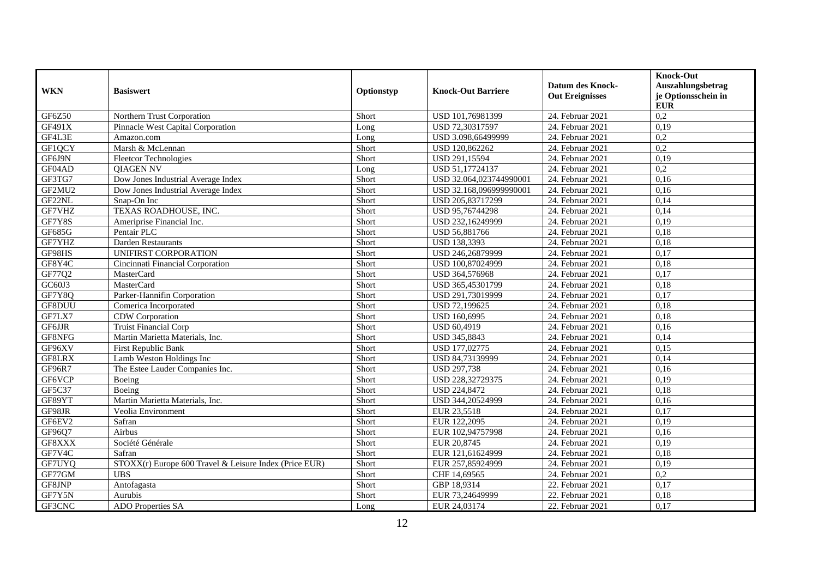| <b>WKN</b> | <b>Basiswert</b>                                       | Optionstyp | <b>Knock-Out Barriere</b> | <b>Datum des Knock-</b><br><b>Out Ereignisses</b> | <b>Knock-Out</b><br>Auszahlungsbetrag<br>je Optionsschein in |
|------------|--------------------------------------------------------|------------|---------------------------|---------------------------------------------------|--------------------------------------------------------------|
|            |                                                        |            |                           |                                                   | <b>EUR</b>                                                   |
| GF6Z50     | Northern Trust Corporation                             | Short      | USD 101,76981399          | 24. Februar 2021                                  | 0,2                                                          |
| GF491X     | Pinnacle West Capital Corporation                      | Long       | USD 72,30317597           | 24. Februar 2021                                  | 0,19                                                         |
| GF4L3E     | Amazon.com                                             | Long       | USD 3.098,66499999        | 24. Februar 2021                                  | $\overline{0.2}$                                             |
| GF1QCY     | Marsh & McLennan                                       | Short      | USD 120,862262            | 24. Februar 2021                                  | 0,2                                                          |
| GF6J9N     | <b>Fleetcor Technologies</b>                           | Short      | USD 291,15594             | 24. Februar 2021                                  | 0,19                                                         |
| GF04AD     | <b>QIAGEN NV</b>                                       | Long       | USD 51,17724137           | 24. Februar 2021                                  | 0,2                                                          |
| GF3TG7     | Dow Jones Industrial Average Index                     | Short      | USD 32.064,023744990001   | 24. Februar 2021                                  | 0,16                                                         |
| GF2MU2     | Dow Jones Industrial Average Index                     | Short      | USD 32.168,096999990001   | 24. Februar 2021                                  | 0,16                                                         |
| GF22NL     | Snap-On Inc                                            | Short      | USD 205,83717299          | 24. Februar 2021                                  | 0,14                                                         |
| GF7VHZ     | TEXAS ROADHOUSE, INC.                                  | Short      | USD 95,76744298           | 24. Februar 2021                                  | 0,14                                                         |
| GF7Y8S     | Ameriprise Financial Inc.                              | Short      | USD 232,16249999          | 24. Februar 2021                                  | 0,19                                                         |
| GF685G     | Pentair PLC                                            | Short      | USD 56,881766             | 24. Februar 2021                                  | 0,18                                                         |
| GF7YHZ     | Darden Restaurants                                     | Short      | <b>USD 138,3393</b>       | 24. Februar 2021                                  | 0,18                                                         |
| GF98HS     | UNIFIRST CORPORATION                                   | Short      | USD 246,26879999          | 24. Februar 2021                                  | 0,17                                                         |
| GF8Y4C     | Cincinnati Financial Corporation                       | Short      | USD 100,87024999          | 24. Februar 2021                                  | 0,18                                                         |
| GF77Q2     | MasterCard                                             | Short      | USD 364,576968            | 24. Februar 2021                                  | 0,17                                                         |
| GC60J3     | MasterCard                                             | Short      | USD 365,45301799          | 24. Februar 2021                                  | 0,18                                                         |
| GF7Y8Q     | Parker-Hannifin Corporation                            | Short      | USD 291,73019999          | 24. Februar 2021                                  | 0,17                                                         |
| GF8DUU     | Comerica Incorporated                                  | Short      | USD 72,199625             | 24. Februar 2021                                  | 0,18                                                         |
| GF7LX7     | CDW Corporation                                        | Short      | USD 160,6995              | 24. Februar 2021                                  | 0,18                                                         |
| GF6JJR     | <b>Truist Financial Corp</b>                           | Short      | USD 60,4919               | 24. Februar 2021                                  | 0,16                                                         |
| GF8NFG     | Martin Marietta Materials, Inc.                        | Short      | USD 345,8843              | 24. Februar 2021                                  | 0,14                                                         |
| GF96XV     | <b>First Republic Bank</b>                             | Short      | USD 177,02775             | 24. Februar 2021                                  | 0,15                                                         |
| GF8LRX     | Lamb Weston Holdings Inc                               | Short      | USD 84,73139999           | 24. Februar 2021                                  | 0,14                                                         |
| GF96R7     | The Estee Lauder Companies Inc.                        | Short      | <b>USD 297,738</b>        | 24. Februar 2021                                  | 0,16                                                         |
| GF6VCP     | Boeing                                                 | Short      | USD 228,32729375          | 24. Februar 2021                                  | 0,19                                                         |
| GF5C37     | Boeing                                                 | Short      | <b>USD 224,8472</b>       | 24. Februar 2021                                  | 0,18                                                         |
| GF89YT     | Martin Marietta Materials, Inc.                        | Short      | USD 344,20524999          | 24. Februar 2021                                  | 0,16                                                         |
| GF98JR     | Veolia Environment                                     | Short      | EUR 23,5518               | 24. Februar 2021                                  | 0,17                                                         |
| GF6EV2     | Safran                                                 | Short      | EUR 122,2095              | 24. Februar 2021                                  | 0,19                                                         |
| GF96Q7     | Airbus                                                 | Short      | EUR 102,94757998          | 24. Februar 2021                                  | 0,16                                                         |
| GF8XXX     | Société Générale                                       | Short      | EUR 20,8745               | 24. Februar 2021                                  | 0,19                                                         |
| GF7V4C     | Safran                                                 | Short      | EUR 121,61624999          | 24. Februar 2021                                  | 0,18                                                         |
| GF7UYQ     | STOXX(r) Europe 600 Travel & Leisure Index (Price EUR) | Short      | EUR 257,85924999          | 24. Februar 2021                                  | 0,19                                                         |
| GF77GM     | <b>UBS</b>                                             | Short      | CHF 14,69565              | 24. Februar 2021                                  | 0,2                                                          |
| GF8JNP     | Antofagasta                                            | Short      | GBP 18,9314               | 22. Februar 2021                                  | 0,17                                                         |
| GF7Y5N     | Aurubis                                                | Short      | EUR 73,24649999           | 22. Februar 2021                                  | 0,18                                                         |
| GF3CNC     | <b>ADO</b> Properties SA                               | Long       | EUR 24,03174              | 22. Februar 2021                                  | 0,17                                                         |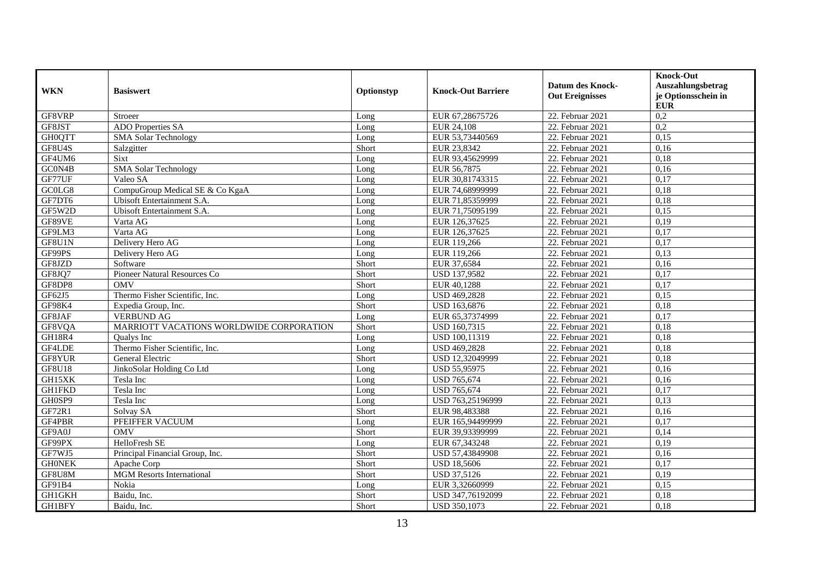| <b>WKN</b>    | <b>Basiswert</b>                         | Optionstyp | <b>Knock-Out Barriere</b> | <b>Datum des Knock-</b> | <b>Knock-Out</b><br>Auszahlungsbetrag |
|---------------|------------------------------------------|------------|---------------------------|-------------------------|---------------------------------------|
|               |                                          |            |                           | <b>Out Ereignisses</b>  | je Optionsschein in<br><b>EUR</b>     |
| GF8VRP        | Stroeer                                  | Long       | EUR 67,28675726           | 22. Februar 2021        | 0,2                                   |
| GF8JST        | ADO Properties SA                        | Long       | EUR 24,108                | 22. Februar 2021        | 0,2                                   |
| <b>GH0QTT</b> | <b>SMA Solar Technology</b>              | Long       | EUR 53,73440569           | 22. Februar 2021        | 0,15                                  |
| GF8U4S        | Salzgitter                               | Short      | EUR 23,8342               | 22. Februar 2021        | 0,16                                  |
| GF4UM6        | <b>Sixt</b>                              | Long       | EUR 93,45629999           | 22. Februar 2021        | 0,18                                  |
| GC0N4B        | <b>SMA Solar Technology</b>              | Long       | EUR 56,7875               | 22. Februar 2021        | 0,16                                  |
| GF77UF        | Valeo SA                                 | Long       | EUR 30,81743315           | 22. Februar 2021        | 0,17                                  |
| GC0LG8        | CompuGroup Medical SE & Co KgaA          | Long       | EUR 74,68999999           | 22. Februar 2021        | 0,18                                  |
| GF7DT6        | Ubisoft Entertainment S.A.               | Long       | EUR 71,85359999           | 22. Februar 2021        | 0,18                                  |
| GF5W2D        | Ubisoft Entertainment S.A.               | Long       | EUR 71,75095199           | 22. Februar 2021        | 0,15                                  |
| GF89VE        | Varta AG                                 | Long       | EUR 126,37625             | 22. Februar 2021        | 0,19                                  |
| GF9LM3        | Varta AG                                 | Long       | EUR 126,37625             | 22. Februar 2021        | 0,17                                  |
| GF8U1N        | Delivery Hero AG                         | Long       | EUR 119.266               | 22. Februar 2021        | 0,17                                  |
| GF99PS        | Delivery Hero AG                         | Long       | EUR 119,266               | 22. Februar 2021        | 0,13                                  |
| GF8JZD        | Software                                 | Short      | EUR 37,6584               | 22. Februar 2021        | 0,16                                  |
| GF8JQ7        | Pioneer Natural Resources Co             | Short      | USD 137,9582              | 22. Februar 2021        | 0,17                                  |
| GF8DP8        | <b>OMV</b>                               | Short      | EUR 40,1288               | 22. Februar 2021        | 0,17                                  |
| GF62J5        | Thermo Fisher Scientific, Inc.           | Long       | USD 469,2828              | 22. Februar 2021        | 0,15                                  |
| GF98K4        | Expedia Group, Inc.                      | Short      | USD 163,6876              | 22. Februar 2021        | 0,18                                  |
| GF8JAF        | <b>VERBUND AG</b>                        | Long       | EUR 65,37374999           | 22. Februar 2021        | 0,17                                  |
| GF8VQA        | MARRIOTT VACATIONS WORLDWIDE CORPORATION | Short      | USD 160,7315              | 22. Februar 2021        | 0,18                                  |
| <b>GH18R4</b> | <b>Oualys</b> Inc.                       | Long       | USD 100,11319             | 22. Februar 2021        | 0,18                                  |
| GF4LDE        | Thermo Fisher Scientific, Inc.           | Long       | USD 469,2828              | 22. Februar 2021        | 0,18                                  |
| GF8YUR        | General Electric                         | Short      | USD 12,32049999           | 22. Februar 2021        | 0,18                                  |
| <b>GF8U18</b> | JinkoSolar Holding Co Ltd                | Long       | USD 55,95975              | 22. Februar 2021        | 0,16                                  |
| GH15XK        | Tesla Inc                                | Long       | <b>USD 765,674</b>        | 22. Februar 2021        | 0,16                                  |
| <b>GH1FKD</b> | Tesla Inc                                | Long       | <b>USD 765,674</b>        | 22. Februar 2021        | 0,17                                  |
| GH0SP9        | Tesla Inc                                | Long       | USD 763,25196999          | 22. Februar 2021        | 0,13                                  |
| GF72R1        | Solvay SA                                | Short      | EUR 98,483388             | 22. Februar 2021        | 0,16                                  |
| GF4PBR        | PFEIFFER VACUUM                          | Long       | EUR 165,94499999          | 22. Februar 2021        | 0,17                                  |
| GF9A0J        | <b>OMV</b>                               | Short      | EUR 39,93399999           | 22. Februar 2021        | 0,14                                  |
| GF99PX        | HelloFresh SE                            | Long       | EUR 67,343248             | 22. Februar 2021        | 0,19                                  |
| GF7WJ5        | Principal Financial Group, Inc.          | Short      | USD 57,43849908           | 22. Februar 2021        | 0,16                                  |
| <b>GHONEK</b> | Apache Corp                              | Short      | <b>USD 18,5606</b>        | 22. Februar 2021        | 0,17                                  |
| GF8U8M        | <b>MGM</b> Resorts International         | Short      | <b>USD 37,5126</b>        | 22. Februar 2021        | 0,19                                  |
| GF91B4        | Nokia                                    | Long       | EUR 3,32660999            | 22. Februar 2021        | 0,15                                  |
| GH1GKH        | Baidu, Inc.                              | Short      | USD 347,76192099          | 22. Februar 2021        | 0,18                                  |
| GH1BFY        | Baidu, Inc.                              | Short      | <b>USD 350,1073</b>       | 22. Februar 2021        | 0,18                                  |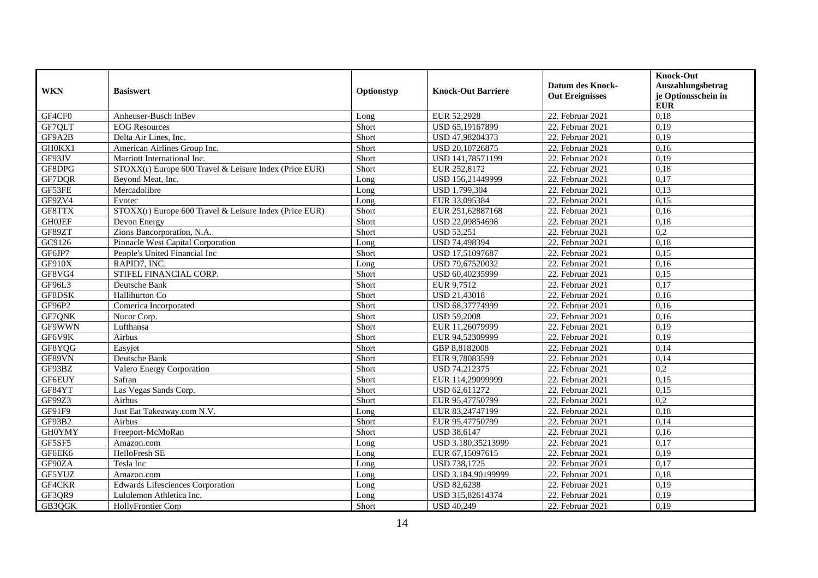|               |                                                        |            |                           |                                                   | <b>Knock-Out</b>                         |
|---------------|--------------------------------------------------------|------------|---------------------------|---------------------------------------------------|------------------------------------------|
| <b>WKN</b>    | <b>Basiswert</b>                                       | Optionstyp | <b>Knock-Out Barriere</b> | <b>Datum des Knock-</b><br><b>Out Ereignisses</b> | Auszahlungsbetrag<br>je Optionsschein in |
| GF4CF0        | Anheuser-Busch InBev                                   | Long       | EUR 52,2928               | 22. Februar 2021                                  | <b>EUR</b><br>0,18                       |
| GF7QLT        | <b>EOG</b> Resources                                   | Short      | USD 65,19167899           | 22. Februar 2021                                  | 0,19                                     |
| GF9A2B        | Delta Air Lines, Inc.                                  | Short      | USD 47,98204373           | 22. Februar 2021                                  | 0,19                                     |
| GH0KX1        | American Airlines Group Inc.                           | Short      | USD 20,10726875           | 22. Februar 2021                                  | 0,16                                     |
| GF93JV        | Marriott International Inc.                            | Short      | USD 141,78571199          | 22. Februar 2021                                  | 0,19                                     |
| GF8DPG        | STOXX(r) Europe 600 Travel & Leisure Index (Price EUR) | Short      | EUR 252,8172              | 22. Februar 2021                                  | 0,18                                     |
| GF7DQR        | Beyond Meat, Inc.                                      | Long       | USD 156,21449999          | 22. Februar 2021                                  | 0,17                                     |
| GF53FE        | Mercadolibre                                           | Long       | USD 1.799,304             | 22. Februar 2021                                  | 0,13                                     |
| GF9ZV4        | Evotec                                                 | Long       | EUR 33,095384             | 22. Februar 2021                                  | 0,15                                     |
| GF8TTX        | STOXX(r) Europe 600 Travel & Leisure Index (Price EUR) | Short      | EUR 251,62887168          | 22. Februar 2021                                  | 0,16                                     |
| <b>GHOJEF</b> | Devon Energy                                           | Short      | USD 22,09854698           | 22. Februar 2021                                  | 0,18                                     |
| GF89ZT        | Zions Bancorporation, N.A.                             | Short      | <b>USD 53,251</b>         | 22. Februar 2021                                  | $\overline{0.2}$                         |
| GC9126        | Pinnacle West Capital Corporation                      | Long       | USD 74,498394             | 22. Februar 2021                                  | 0,18                                     |
| GF6JP7        | People's United Financial Inc                          | Short      | USD 17,51097687           | 22. Februar 2021                                  | 0,15                                     |
| GF910X        | RAPID7, INC.                                           | Long       | USD 79,67520032           | 22. Februar 2021                                  | 0,16                                     |
| GF8VG4        | STIFEL FINANCIAL CORP.                                 | Short      | USD 60,40235999           | 22. Februar 2021                                  | 0,15                                     |
| GF96L3        | Deutsche Bank                                          | Short      | EUR 9,7512                | 22. Februar 2021                                  | 0,17                                     |
| GF8DSK        | Halliburton Co                                         | Short      | <b>USD 21,43018</b>       | 22. Februar 2021                                  | 0,16                                     |
| GF96P2        | Comerica Incorporated                                  | Short      | USD 68,37774999           | 22. Februar 2021                                  | 0.16                                     |
| GF7QNK        | Nucor Corp.                                            | Short      | <b>USD 59,2008</b>        | 22. Februar 2021                                  | 0,16                                     |
| GF9WWN        | Lufthansa                                              | Short      | EUR 11,26079999           | 22. Februar 2021                                  | 0,19                                     |
| GF6V9K        | Airbus                                                 | Short      | EUR 94,52309999           | 22. Februar 2021                                  | 0,19                                     |
| GF8YQG        | Easyjet                                                | Short      | GBP 8,8182008             | 22. Februar 2021                                  | 0,14                                     |
| GF89VN        | Deutsche Bank                                          | Short      | EUR 9,78083599            | 22. Februar 2021                                  | 0,14                                     |
| GF93BZ        | Valero Energy Corporation                              | Short      | USD 74,212375             | 22. Februar 2021                                  | 0,2                                      |
| <b>GF6EUY</b> | Safran                                                 | Short      | EUR 114,29099999          | 22. Februar 2021                                  | 0,15                                     |
| GF84YT        | Las Vegas Sands Corp.                                  | Short      | USD 62,611272             | 22. Februar 2021                                  | 0,15                                     |
| GF99Z3        | Airbus                                                 | Short      | EUR 95,47750799           | 22. Februar 2021                                  | 0,2                                      |
| GF91F9        | Just Eat Takeaway.com N.V.                             | Long       | EUR 83,24747199           | 22. Februar 2021                                  | 0,18                                     |
| GF93B2        | Airbus                                                 | Short      | EUR 95,47750799           | 22. Februar 2021                                  | 0,14                                     |
| GH0YMY        | Freeport-McMoRan                                       | Short      | <b>USD 38,6147</b>        | 22. Februar 2021                                  | 0,16                                     |
| GF5SF5        | Amazon.com                                             | Long       | USD 3.180,35213999        | 22. Februar 2021                                  | 0,17                                     |
| GF6EK6        | HelloFresh SE                                          | Long       | EUR 67,15097615           | 22. Februar 2021                                  | 0,19                                     |
| GF90ZA        | Tesla Inc                                              | Long       | USD 738,1725              | 22. Februar 2021                                  | 0,17                                     |
| GF5YUZ        | Amazon.com                                             | Long       | USD 3.184,90199999        | 22. Februar 2021                                  | 0,18                                     |
| GF4CKR        | <b>Edwards Lifesciences Corporation</b>                | Long       | <b>USD 82,6238</b>        | 22. Februar 2021                                  | 0,19                                     |
| GF3QR9        | Lululemon Athletica Inc.                               | Long       | USD 315,82614374          | 22. Februar 2021                                  | 0,19                                     |
| GB3OGK        | <b>HollyFrontier Corp</b>                              | Short      | <b>USD 40,249</b>         | 22. Februar 2021                                  | 0,19                                     |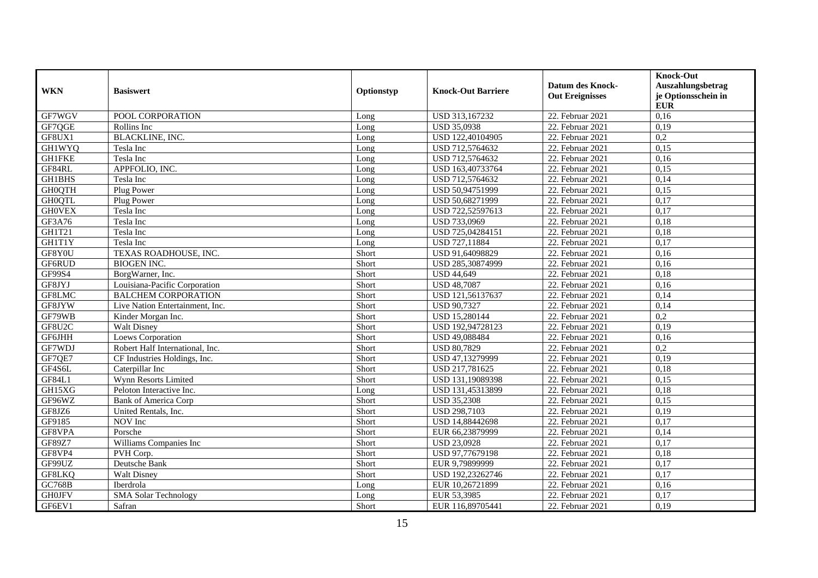|               |                                 |            |                           | <b>Datum des Knock-</b> | <b>Knock-Out</b><br>Auszahlungsbetrag |
|---------------|---------------------------------|------------|---------------------------|-------------------------|---------------------------------------|
| <b>WKN</b>    | <b>Basiswert</b>                | Optionstyp | <b>Knock-Out Barriere</b> | <b>Out Ereignisses</b>  | je Optionsschein in<br><b>EUR</b>     |
| GF7WGV        | POOL CORPORATION                | Long       | USD 313,167232            | 22. Februar 2021        | 0,16                                  |
| GF7QGE        | Rollins Inc                     | Long       | <b>USD 35,0938</b>        | 22. Februar 2021        | 0,19                                  |
| GF8UX1        | <b>BLACKLINE, INC.</b>          | Long       | USD 122,40104905          | 22. Februar 2021        | 0,2                                   |
| <b>GH1WYQ</b> | Tesla Inc                       | Long       | USD 712,5764632           | 22. Februar 2021        | 0,15                                  |
| <b>GH1FKE</b> | Tesla Inc                       | Long       | USD 712,5764632           | 22. Februar 2021        | 0,16                                  |
| GF84RL        | APPFOLIO, INC.                  | Long       | USD 163,40733764          | 22. Februar 2021        | 0,15                                  |
| <b>GH1BHS</b> | Tesla Inc                       | Long       | USD 712,5764632           | 22. Februar 2021        | 0,14                                  |
| <b>GH0QTH</b> | Plug Power                      | Long       | USD 50,94751999           | 22. Februar 2021        | 0,15                                  |
| <b>GHOQTL</b> | Plug Power                      | Long       | USD 50.68271999           | 22. Februar 2021        | 0,17                                  |
| <b>GHOVEX</b> | Tesla Inc                       | Long       | USD 722,52597613          | 22. Februar 2021        | 0,17                                  |
| GF3A76        | Tesla Inc                       | Long       | USD 733,0969              | 22. Februar 2021        | 0,18                                  |
| GH1T21        | Tesla Inc                       | Long       | USD 725,04284151          | 22. Februar 2021        | 0,18                                  |
| GH1T1Y        | Tesla Inc                       | Long       | USD 727,11884             | 22. Februar 2021        | 0,17                                  |
| GF8Y0U        | TEXAS ROADHOUSE, INC.           | Short      | USD 91,64098829           | 22. Februar 2021        | 0,16                                  |
| GF6RUD        | <b>BIOGEN INC.</b>              | Short      | USD 285,30874999          | 22. Februar 2021        | 0,16                                  |
| GF99S4        | BorgWarner, Inc.                | Short      | <b>USD 44,649</b>         | 22. Februar 2021        | 0,18                                  |
| GF8JYJ        | Louisiana-Pacific Corporation   | Short      | <b>USD 48,7087</b>        | 22. Februar 2021        | 0,16                                  |
| GF8LMC        | <b>BALCHEM CORPORATION</b>      | Short      | USD 121,56137637          | 22. Februar 2021        | 0,14                                  |
| GF8JYW        | Live Nation Entertainment. Inc. | Short      | <b>USD 90,7327</b>        | 22. Februar 2021        | 0.14                                  |
| GF79WB        | Kinder Morgan Inc.              | Short      | USD 15,280144             | 22. Februar 2021        | 0,2                                   |
| GF8U2C        | <b>Walt Disney</b>              | Short      | USD 192,94728123          | 22. Februar 2021        | 0,19                                  |
| GF6JHH        | Loews Corporation               | Short      | <b>USD 49,088484</b>      | 22. Februar 2021        | 0,16                                  |
| GF7WDJ        | Robert Half International, Inc. | Short      | <b>USD 80,7829</b>        | 22. Februar 2021        | 0,2                                   |
| GF7QE7        | CF Industries Holdings, Inc.    | Short      | USD 47,13279999           | 22. Februar 2021        | 0,19                                  |
| GF4S6L        | Caterpillar Inc                 | Short      | USD 217,781625            | 22. Februar 2021        | 0,18                                  |
| GF84L1        | Wynn Resorts Limited            | Short      | USD 131,19089398          | 22. Februar 2021        | 0,15                                  |
| GH15XG        | Peloton Interactive Inc.        | Long       | USD 131,45313899          | 22. Februar 2021        | 0,18                                  |
| GF96WZ        | <b>Bank of America Corp</b>     | Short      | <b>USD 35,2308</b>        | 22. Februar 2021        | 0,15                                  |
| GF8JZ6        | United Rentals, Inc.            | Short      | USD 298,7103              | 22. Februar 2021        | 0,19                                  |
| GF9185        | NOV Inc                         | Short      | USD 14,88442698           | 22. Februar 2021        | 0,17                                  |
| GF8VPA        | Porsche                         | Short      | EUR 66.23879999           | 22. Februar 2021        | 0,14                                  |
| GF89Z7        | Williams Companies Inc          | Short      | <b>USD 23,0928</b>        | 22. Februar 2021        | 0,17                                  |
| GF8VP4        | PVH Corp.                       | Short      | USD 97,77679198           | 22. Februar 2021        | 0,18                                  |
| GF99UZ        | Deutsche Bank                   | Short      | EUR 9,79899999            | 22. Februar 2021        | 0,17                                  |
| GF8LKQ        | <b>Walt Disney</b>              | Short      | USD 192,23262746          | 22. Februar 2021        | 0,17                                  |
| GC768B        | Iberdrola                       | Long       | EUR 10,26721899           | 22. Februar 2021        | 0,16                                  |
| <b>GH0JFV</b> | <b>SMA Solar Technology</b>     | Long       | EUR 53,3985               | 22. Februar 2021        | 0,17                                  |
| GF6EV1        | Safran                          | Short      | EUR 116,89705441          | 22. Februar 2021        | 0,19                                  |